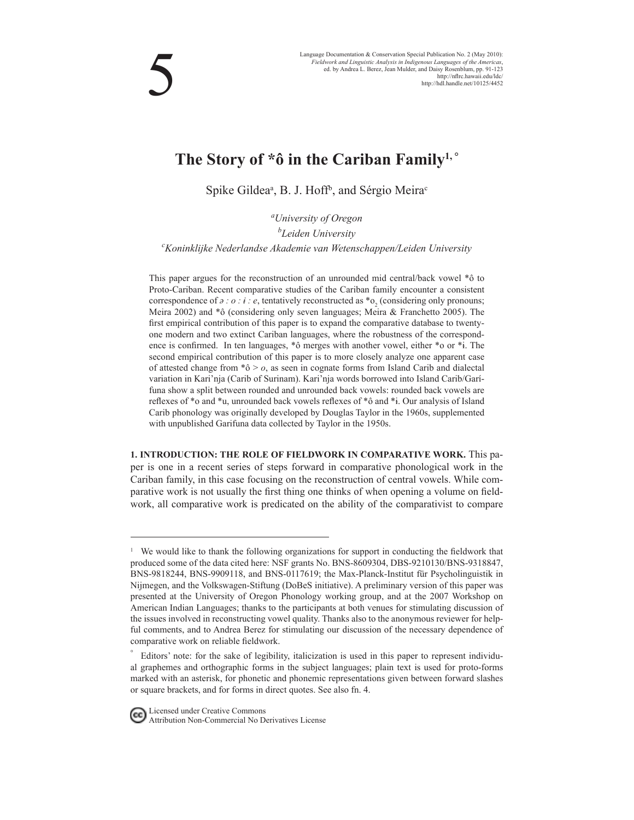# **The Story of \*ô in the Cariban Family1, °**

Spike Gildea<sup>a</sup>, B. J. Hoff<sup>b</sup>, and Sérgio Meira<sup>c</sup>

*a University of Oregon b Leiden University c Koninklijke Nederlandse Akademie van Wetenschappen/Leiden University*

This paper argues for the reconstruction of an unrounded mid central/back vowel \*ô to Proto-Cariban. Recent comparative studies of the Cariban family encounter a consistent correspondence of  $\sigma$  :  $\sigma$  :  $i$  :  $e$ , tentatively reconstructed as  $*_o2$  (considering only pronouns; Meira 2002) and \*ô (considering only seven languages; Meira & Franchetto 2005). The first empirical contribution of this paper is to expand the comparative database to twentyone modern and two extinct Cariban languages, where the robustness of the correspondence is confirmed. In ten languages, \*ô merges with another vowel, either \*o or \*ɨ. The second empirical contribution of this paper is to more closely analyze one apparent case of attested change from \*ô > *o*, as seen in cognate forms from Island Carib and dialectal variation in Kari'nja (Carib of Surinam). Kari'nja words borrowed into Island Carib/Garífuna show a split between rounded and unrounded back vowels: rounded back vowels are reflexes of \*o and \*u, unrounded back vowels reflexes of \*ô and \*ɨ. Our analysis of Island Carib phonology was originally developed by Douglas Taylor in the 1960s, supplemented with unpublished Garifuna data collected by Taylor in the 1950s.

**1. INTRODUCTION: THE ROLE OF FIELDWORK IN COMPARATIVE WORK.** This paper is one in a recent series of steps forward in comparative phonological work in the Cariban family, in this case focusing on the reconstruction of central vowels. While comparative work is not usually the first thing one thinks of when opening a volume on fieldwork, all comparative work is predicated on the ability of the comparativist to compare

Editors' note: for the sake of legibility, italicization is used in this paper to represent individual graphemes and orthographic forms in the subject languages; plain text is used for proto-forms marked with an asterisk, for phonetic and phonemic representations given between forward slashes or square brackets, and for forms in direct quotes. See also fn. 4.



<sup>&</sup>lt;sup>1</sup> We would like to thank the following organizations for support in conducting the fieldwork that produced some of the data cited here: NSF grants No. BNS-8609304, DBS-9210130/BNS-9318847, BNS-9818244, BNS-9909118, and BNS-0117619; the Max-Planck-Institut für Psycholinguistik in Nijmegen, and the Volkswagen-Stiftung (DoBeS initiative). A preliminary version of this paper was presented at the University of Oregon Phonology working group, and at the 2007 Workshop on American Indian Languages; thanks to the participants at both venues for stimulating discussion of the issues involved in reconstructing vowel quality. Thanks also to the anonymous reviewer for helpful comments, and to Andrea Berez for stimulating our discussion of the necessary dependence of comparative work on reliable fieldwork.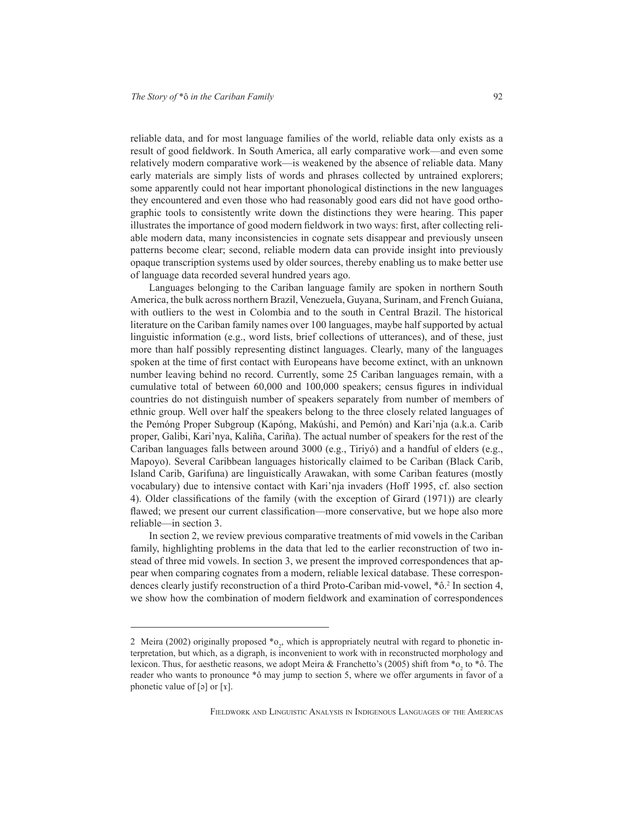reliable data, and for most language families of the world, reliable data only exists as a result of good fieldwork. In South America, all early comparative work—and even some relatively modern comparative work—is weakened by the absence of reliable data. Many early materials are simply lists of words and phrases collected by untrained explorers; some apparently could not hear important phonological distinctions in the new languages they encountered and even those who had reasonably good ears did not have good orthographic tools to consistently write down the distinctions they were hearing. This paper illustrates the importance of good modern fieldwork in two ways: first, after collecting reliable modern data, many inconsistencies in cognate sets disappear and previously unseen patterns become clear; second, reliable modern data can provide insight into previously opaque transcription systems used by older sources, thereby enabling us to make better use of language data recorded several hundred years ago.

Languages belonging to the Cariban language family are spoken in northern South America, the bulk across northern Brazil, Venezuela, Guyana, Surinam, and French Guiana, with outliers to the west in Colombia and to the south in Central Brazil. The historical literature on the Cariban family names over 100 languages, maybe half supported by actual linguistic information (e.g., word lists, brief collections of utterances), and of these, just more than half possibly representing distinct languages. Clearly, many of the languages spoken at the time of first contact with Europeans have become extinct, with an unknown number leaving behind no record. Currently, some 25 Cariban languages remain, with a cumulative total of between 60,000 and 100,000 speakers; census figures in individual countries do not distinguish number of speakers separately from number of members of ethnic group. Well over half the speakers belong to the three closely related languages of the Pemóng Proper Subgroup (Kapóng, Makúshi, and Pemón) and Kari'nja (a.k.a. Carib proper, Galibi, Kari'nya, Kaliña, Cariña). The actual number of speakers for the rest of the Cariban languages falls between around 3000 (e.g., Tiriyó) and a handful of elders (e.g., Mapoyo). Several Caribbean languages historically claimed to be Cariban (Black Carib, Island Carib, Garifuna) are linguistically Arawakan, with some Cariban features (mostly vocabulary) due to intensive contact with Kari'nja invaders (Hoff 1995, cf. also section 4). Older classifications of the family (with the exception of Girard (1971)) are clearly flawed; we present our current classification—more conservative, but we hope also more reliable—in section 3.

In section 2, we review previous comparative treatments of mid vowels in the Cariban family, highlighting problems in the data that led to the earlier reconstruction of two instead of three mid vowels. In section 3, we present the improved correspondences that appear when comparing cognates from a modern, reliable lexical database. These correspondences clearly justify reconstruction of a third Proto-Cariban mid-vowel, \*ô.<sup>2</sup> In section 4, we show how the combination of modern fieldwork and examination of correspondences

<sup>2</sup> Meira (2002) originally proposed  $*o_2$ , which is appropriately neutral with regard to phonetic interpretation, but which, as a digraph, is inconvenient to work with in reconstructed morphology and lexicon. Thus, for aesthetic reasons, we adopt Meira & Franchetto's (2005) shift from  $*_o_2$  to  $*_o$ . The reader who wants to pronounce \*ô may jump to section 5, where we offer arguments in favor of a phonetic value of  $\lceil 9 \rceil$  or  $\lceil \chi \rceil$ .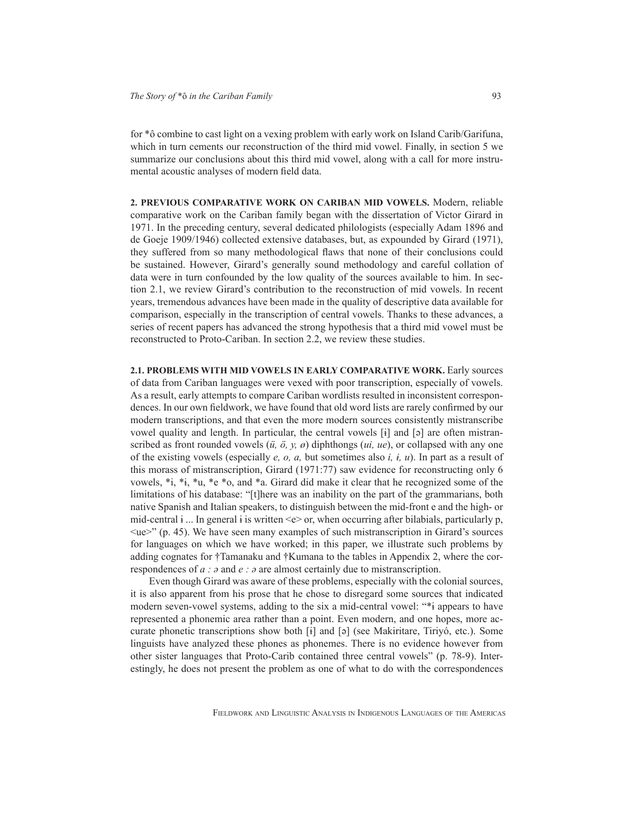for \*ô combine to cast light on a vexing problem with early work on Island Carib/Garifuna, which in turn cements our reconstruction of the third mid vowel. Finally, in section 5 we summarize our conclusions about this third mid vowel, along with a call for more instrumental acoustic analyses of modern field data.

**2. PREVIOUS COMPARATIVE WORK ON CARIBAN MID VOWELS.** Modern, reliable comparative work on the Cariban family began with the dissertation of Victor Girard in 1971. In the preceding century, several dedicated philologists (especially Adam 1896 and de Goeje 1909/1946) collected extensive databases, but, as expounded by Girard (1971), they suffered from so many methodological flaws that none of their conclusions could be sustained. However, Girard's generally sound methodology and careful collation of data were in turn confounded by the low quality of the sources available to him. In section 2.1, we review Girard's contribution to the reconstruction of mid vowels. In recent years, tremendous advances have been made in the quality of descriptive data available for comparison, especially in the transcription of central vowels. Thanks to these advances, a series of recent papers has advanced the strong hypothesis that a third mid vowel must be reconstructed to Proto-Cariban. In section 2.2, we review these studies.

**2.1. PROBLEMS WITH MID VOWELS IN EARLY COMPARATIVE WORK.** Early sources of data from Cariban languages were vexed with poor transcription, especially of vowels. As a result, early attempts to compare Cariban wordlists resulted in inconsistent correspondences. In our own fieldwork, we have found that old word lists are rarely confirmed by our modern transcriptions, and that even the more modern sources consistently mistranscribe vowel quality and length. In particular, the central vowels [ɨ] and [ə] are often mistranscribed as front rounded vowels (*ü, ö, y, ø*) diphthongs (*ui, ue*), or collapsed with any one of the existing vowels (especially *e, o, a,* but sometimes also *i, ɨ, u*). In part as a result of this morass of mistranscription, Girard (1971:77) saw evidence for reconstructing only 6 vowels, \*i, \*ɨ, \*u, \*e \*o, and \*a. Girard did make it clear that he recognized some of the limitations of his database: "[t]here was an inability on the part of the grammarians, both native Spanish and Italian speakers, to distinguish between the mid-front e and the high- or mid-central  $\mathbf{i}$  ... In general  $\mathbf{i}$  is written  $\leq e$  or, when occurring after bilabials, particularly p,  $\langle ue \rangle$  (p. 45). We have seen many examples of such mistranscription in Girard's sources for languages on which we have worked; in this paper, we illustrate such problems by adding cognates for †Tamanaku and †Kumana to the tables in Appendix 2, where the correspondences of *a : ə* and *e : ə* are almost certainly due to mistranscription.

Even though Girard was aware of these problems, especially with the colonial sources, it is also apparent from his prose that he chose to disregard some sources that indicated modern seven-vowel systems, adding to the six a mid-central vowel: "\*ɨ appears to have represented a phonemic area rather than a point. Even modern, and one hopes, more accurate phonetic transcriptions show both [ɨ] and [ə] (see Makiritare, Tiriyó, etc.). Some linguists have analyzed these phones as phonemes. There is no evidence however from other sister languages that Proto-Carib contained three central vowels" (p. 78-9). Interestingly, he does not present the problem as one of what to do with the correspondences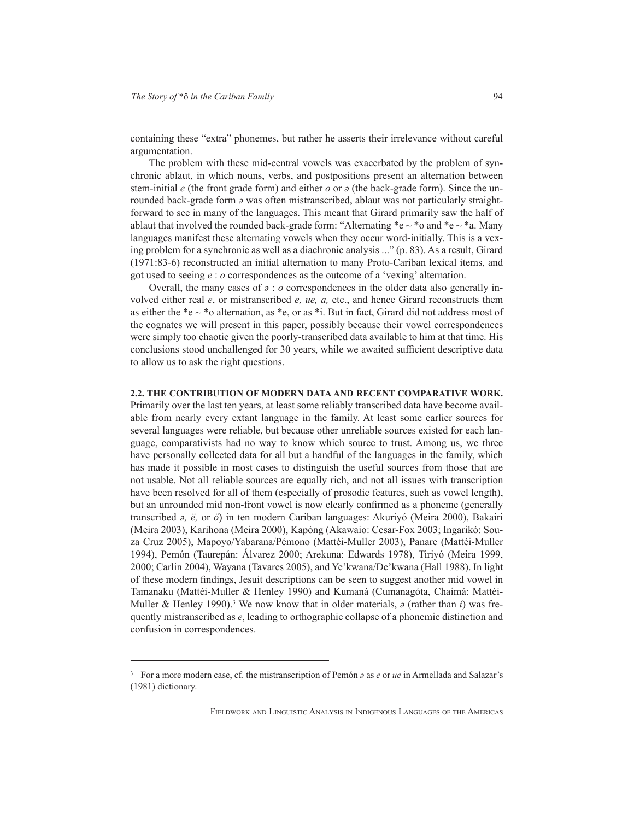containing these "extra" phonemes, but rather he asserts their irrelevance without careful argumentation.

The problem with these mid-central vowels was exacerbated by the problem of synchronic ablaut, in which nouns, verbs, and postpositions present an alternation between stem-initial *e* (the front grade form) and either *o* or *ə* (the back-grade form). Since the unrounded back-grade form *ə* was often mistranscribed, ablaut was not particularly straightforward to see in many of the languages. This meant that Girard primarily saw the half of ablaut that involved the rounded back-grade form: "Alternating  $*e \sim *o$  and  $*e \sim *a$ . Many languages manifest these alternating vowels when they occur word-initially. This is a vexing problem for a synchronic as well as a diachronic analysis ..." (p. 83). As a result, Girard (1971:83-6) reconstructed an initial alternation to many Proto-Cariban lexical items, and got used to seeing *e* : *o* correspondences as the outcome of a 'vexing' alternation.

Overall, the many cases of *ə* : *o* correspondences in the older data also generally involved either real *e*, or mistranscribed *e, ue, a,* etc., and hence Girard reconstructs them as either the  $*e$  ~ \*o alternation, as  $*e$ , or as  $*i$ . But in fact, Girard did not address most of the cognates we will present in this paper, possibly because their vowel correspondences were simply too chaotic given the poorly-transcribed data available to him at that time. His conclusions stood unchallenged for 30 years, while we awaited sufficient descriptive data to allow us to ask the right questions.

### **2.2. THE CONTRIBUTION OF MODERN DATA AND RECENT COMPARATIVE WORK.**

Primarily over the last ten years, at least some reliably transcribed data have become available from nearly every extant language in the family. At least some earlier sources for several languages were reliable, but because other unreliable sources existed for each language, comparativists had no way to know which source to trust. Among us, we three have personally collected data for all but a handful of the languages in the family, which has made it possible in most cases to distinguish the useful sources from those that are not usable. Not all reliable sources are equally rich, and not all issues with transcription have been resolved for all of them (especially of prosodic features, such as vowel length), but an unrounded mid non-front vowel is now clearly confirmed as a phoneme (generally transcribed *ə, ë,* or *ö*) in ten modern Cariban languages: Akuriyó (Meira 2000), Bakairi (Meira 2003), Karihona (Meira 2000), Kapóng (Akawaio: Cesar-Fox 2003; Ingarikó: Souza Cruz 2005), Mapoyo/Yabarana/Pémono (Mattéi-Muller 2003), Panare (Mattéi-Muller 1994), Pemón (Taurepán: Álvarez 2000; Arekuna: Edwards 1978), Tiriyó (Meira 1999, 2000; Carlin 2004), Wayana (Tavares 2005), and Ye'kwana/De'kwana (Hall 1988). In light of these modern findings, Jesuit descriptions can be seen to suggest another mid vowel in Tamanaku (Mattéi-Muller & Henley 1990) and Kumaná (Cumanagóta, Chaimá: Mattéi-Muller & Henley 1990).<sup>3</sup> We now know that in older materials,  $\sigma$  (rather than *i*) was frequently mistranscribed as *e*, leading to orthographic collapse of a phonemic distinction and confusion in correspondences.

<sup>3</sup> For a more modern case, cf. the mistranscription of Pemón *ə* as *e* or *ue* in Armellada and Salazar's (1981) dictionary.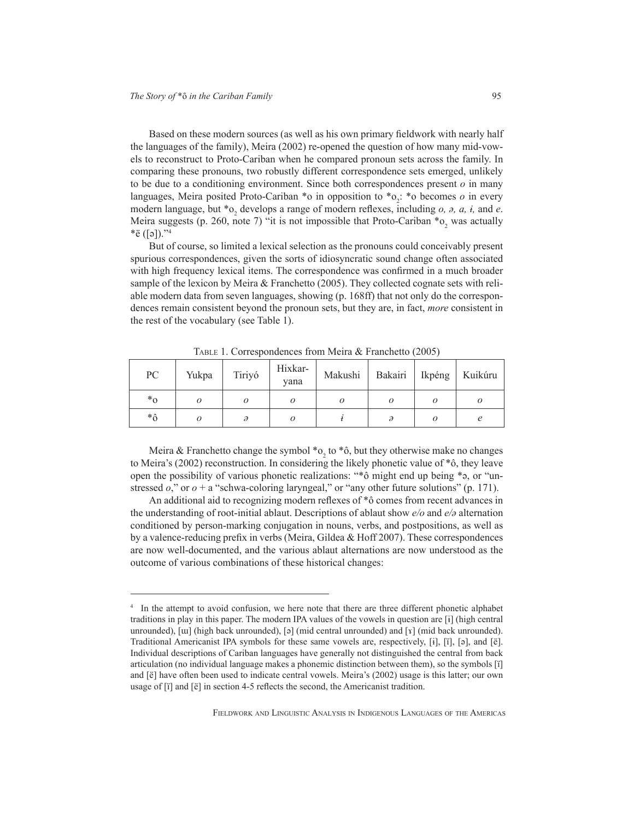Based on these modern sources (as well as his own primary fieldwork with nearly half the languages of the family), Meira (2002) re-opened the question of how many mid-vowels to reconstruct to Proto-Cariban when he compared pronoun sets across the family. In comparing these pronouns, two robustly different correspondence sets emerged, unlikely to be due to a conditioning environment. Since both correspondences present *o* in many languages, Meira posited Proto-Cariban \*o in opposition to \*o<sub>2</sub>: \*o becomes *o* in every modern language, but  $*_o_2$  develops a range of modern reflexes, including *o*, *a*, *a*, *i*, and *e*. Meira suggests (p. 260, note 7) "it is not impossible that Proto-Cariban  $*_o_2$  was actually \*ë ([ə])."4

But of course, so limited a lexical selection as the pronouns could conceivably present spurious correspondences, given the sorts of idiosyncratic sound change often associated with high frequency lexical items. The correspondence was confirmed in a much broader sample of the lexicon by Meira & Franchetto (2005). They collected cognate sets with reliable modern data from seven languages, showing (p. 168ff) that not only do the correspondences remain consistent beyond the pronoun sets, but they are, in fact, *more* consistent in the rest of the vocabulary (see Table 1).

| PC     | Yukpa | Tiriyó | Hixkar-<br>Makushi<br>vana |  |  | Bakairi   Ikpéng   Kuikúru |  |  |  |  |
|--------|-------|--------|----------------------------|--|--|----------------------------|--|--|--|--|
| $^*$ 0 | 0     |        |                            |  |  |                            |  |  |  |  |
| *ô     | O     |        |                            |  |  |                            |  |  |  |  |

Table 1. Correspondences from Meira & Franchetto (2005)

Meira & Franchetto change the symbol  $*_o2$  to  $*_o$ , but they otherwise make no changes to Meira's (2002) reconstruction. In considering the likely phonetic value of \*ô, they leave open the possibility of various phonetic realizations: "\*ô might end up being \*ə, or "unstressed  $o$ ," or  $o + a$  "schwa-coloring laryngeal," or "any other future solutions" (p. 171).

An additional aid to recognizing modern reflexes of \*ô comes from recent advances in the understanding of root-initial ablaut. Descriptions of ablaut show *e/o* and *e/ə* alternation conditioned by person-marking conjugation in nouns, verbs, and postpositions, as well as by a valence-reducing prefix in verbs (Meira, Gildea & Hoff 2007). These correspondences are now well-documented, and the various ablaut alternations are now understood as the outcome of various combinations of these historical changes:

<sup>&</sup>lt;sup>4</sup> In the attempt to avoid confusion, we here note that there are three different phonetic alphabet traditions in play in this paper. The modern IPA values of the vowels in question are [ɨ] (high central unrounded), [ɯ] (high back unrounded), [ə] (mid central unrounded) and [ɤ] (mid back unrounded). Traditional Americanist IPA symbols for these same vowels are, respectively, [ɨ], [ï], [ə], and [ë]. Individual descriptions of Cariban languages have generally not distinguished the central from back articulation (no individual language makes a phonemic distinction between them), so the symbols [ï] and [ë] have often been used to indicate central vowels. Meira's (2002) usage is this latter; our own usage of [ï] and [ë] in section 4-5 reflects the second, the Americanist tradition.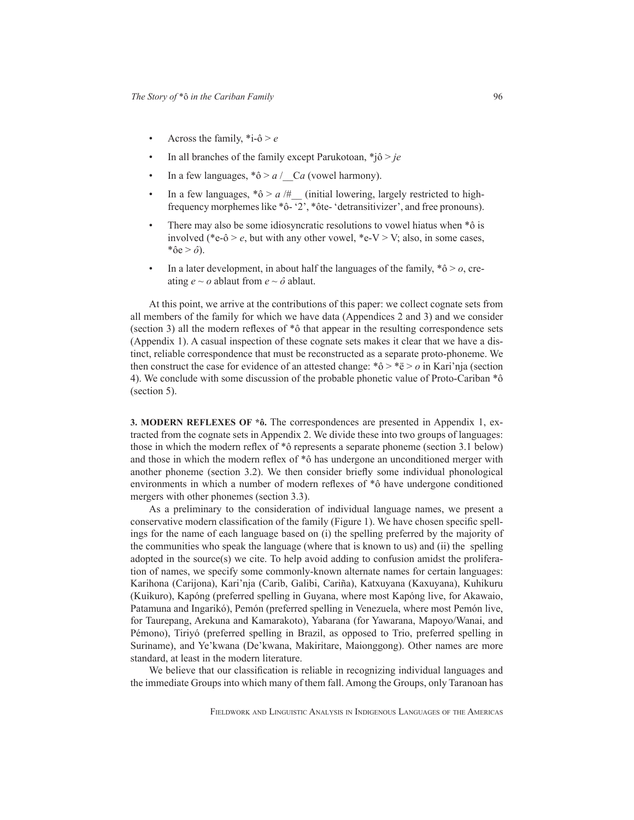- Across the family,  $\ast i$ -ô > *e*
- In all branches of the family except Parukotoan, \*jô > *je*
- In a few languages,  $\hat{\sigma} > a / \_Ca$  (vowel harmony).
- In a few languages,  $\ast \hat{o} > a / \#$  (initial lowering, largely restricted to highfrequency morphemes like \*ô- '2', \*ôte- 'detransitivizer', and free pronouns).
- There may also be some idiosyncratic resolutions to vowel hiatus when  $*\hat{o}$  is involved (\*e-ô > *e*, but with any other vowel, \*e-V > V; also, in some cases, \*ôe >  $\hat{o}$ ).
- In a later development, in about half the languages of the family,  $*\hat{\sigma} > \sigma$ , creating  $e \sim o$  ablaut from  $e \sim \hat{o}$  ablaut.

At this point, we arrive at the contributions of this paper: we collect cognate sets from all members of the family for which we have data (Appendices 2 and 3) and we consider (section 3) all the modern reflexes of \*ô that appear in the resulting correspondence sets (Appendix 1). A casual inspection of these cognate sets makes it clear that we have a distinct, reliable correspondence that must be reconstructed as a separate proto-phoneme. We then construct the case for evidence of an attested change:  $\ast \hat{\sigma} > \ast \hat{e} > \rho$  in Kari'nia (section 4). We conclude with some discussion of the probable phonetic value of Proto-Cariban \*ô (section 5).

**3. MODERN REFLEXES OF \*ô.** The correspondences are presented in Appendix 1, extracted from the cognate sets in Appendix 2. We divide these into two groups of languages: those in which the modern reflex of \*ô represents a separate phoneme (section 3.1 below) and those in which the modern reflex of \*ô has undergone an unconditioned merger with another phoneme (section 3.2). We then consider briefly some individual phonological environments in which a number of modern reflexes of \*ô have undergone conditioned mergers with other phonemes (section 3.3).

As a preliminary to the consideration of individual language names, we present a conservative modern classification of the family (Figure 1). We have chosen specific spellings for the name of each language based on (i) the spelling preferred by the majority of the communities who speak the language (where that is known to us) and (ii) the spelling adopted in the source(s) we cite. To help avoid adding to confusion amidst the proliferation of names, we specify some commonly-known alternate names for certain languages: Karihona (Carijona), Kari'nja (Carib, Galibi, Cariña), Katxuyana (Kaxuyana), Kuhikuru (Kuikuro), Kapóng (preferred spelling in Guyana, where most Kapóng live, for Akawaio, Patamuna and Ingarikó), Pemón (preferred spelling in Venezuela, where most Pemón live, for Taurepang, Arekuna and Kamarakoto), Yabarana (for Yawarana, Mapoyo/Wanai, and Pémono), Tiriyó (preferred spelling in Brazil, as opposed to Trio, preferred spelling in Suriname), and Ye'kwana (De'kwana, Makiritare, Maionggong). Other names are more standard, at least in the modern literature.

We believe that our classification is reliable in recognizing individual languages and the immediate Groups into which many of them fall. Among the Groups, only Taranoan has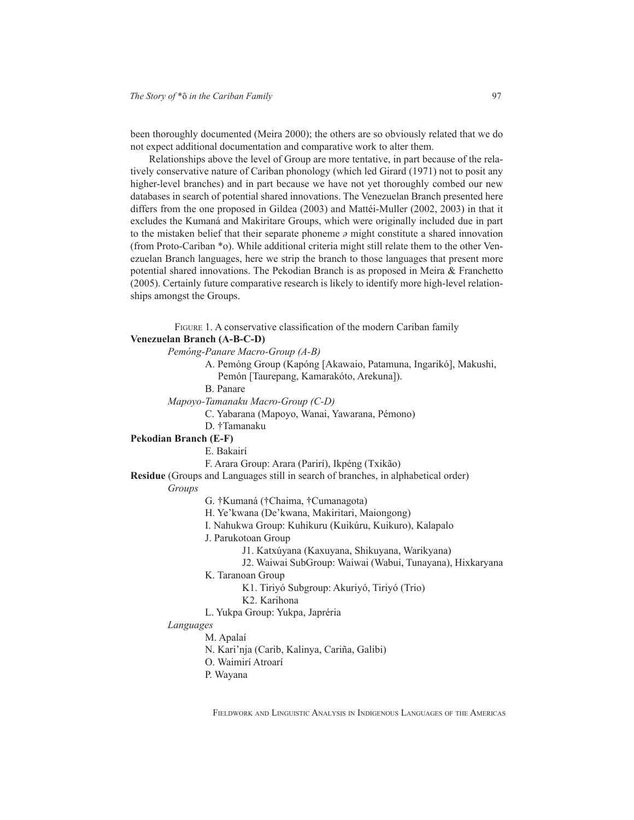been thoroughly documented (Meira 2000); the others are so obviously related that we do not expect additional documentation and comparative work to alter them.

Relationships above the level of Group are more tentative, in part because of the relatively conservative nature of Cariban phonology (which led Girard (1971) not to posit any higher-level branches) and in part because we have not yet thoroughly combed our new databases in search of potential shared innovations. The Venezuelan Branch presented here differs from the one proposed in Gildea (2003) and Mattéi-Muller (2002, 2003) in that it excludes the Kumaná and Makiritare Groups, which were originally included due in part to the mistaken belief that their separate phoneme *ə* might constitute a shared innovation (from Proto-Cariban \*o). While additional criteria might still relate them to the other Venezuelan Branch languages, here we strip the branch to those languages that present more potential shared innovations. The Pekodian Branch is as proposed in Meira & Franchetto (2005). Certainly future comparative research is likely to identify more high-level relationships amongst the Groups.

Figure 1. A conservative classification of the modern Cariban family **Venezuelan Branch (A-B-C-D)**

*Pemóng-Panare Macro-Group (A-B)*

- A. Pemóng Group (Kapóng [Akawaio, Patamuna, Ingarikó], Makushi,
	- Pemón [Taurepang, Kamarakóto, Arekuna]).

B. Panare

*Mapoyo-Tamanaku Macro-Group (C-D)* 

C. Yabarana (Mapoyo, Wanai, Yawarana, Pémono)

## D. †Tamanaku

#### **Pekodian Branch (E-F)**

E. Bakairí

F. Arara Group: Arara (Parirí), Ikpéng (Txikão)

**Residue** (Groups and Languages still in search of branches, in alphabetical order)

#### *Groups*

G. †Kumaná (†Chaima, †Cumanagota)

H. Ye'kwana (De'kwana, Makiritari, Maiongong)

I. Nahukwa Group: Kuhikuru (Kuikúru, Kuikuro), Kalapalo

J. Parukotoan Group

J1. Katxúyana (Kaxuyana, Shikuyana, Warikyana)

J2. Waiwai SubGroup: Waiwai (Wabui, Tunayana), Hixkaryana

K. Taranoan Group

K1. Tiriyó Subgroup: Akuriyó, Tiriyó (Trio)

K2. Karihona

L. Yukpa Group: Yukpa, Japréria

#### *Languages*

M. Apalaí

N. Kari'nja (Carib, Kalinya, Cariña, Galibi)

- O. Waimirí Atroarí
- P. Wayana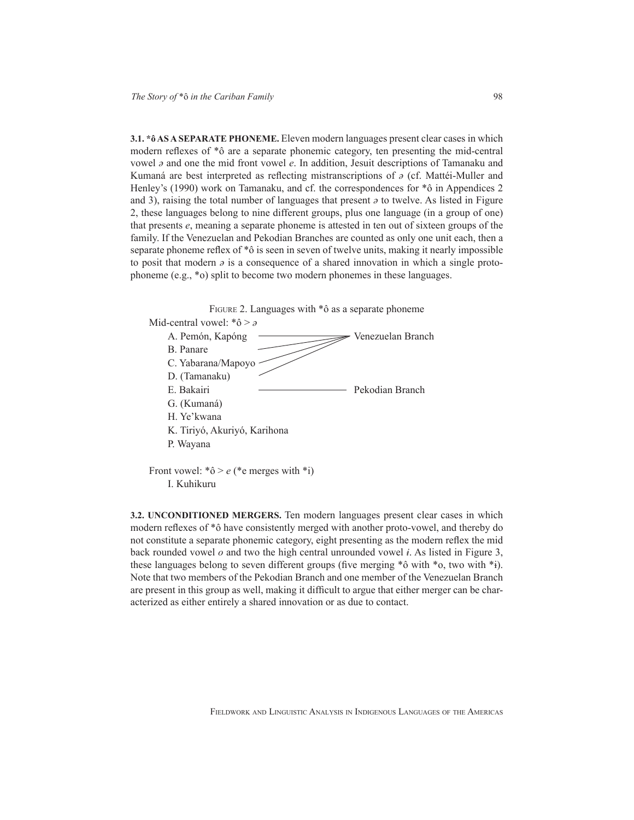**3.1. \*ô AS A SEPARATE PHONEME.** Eleven modern languages present clear cases in which modern reflexes of \*ô are a separate phonemic category, ten presenting the mid-central vowel *ə* and one the mid front vowel *e*. In addition, Jesuit descriptions of Tamanaku and Kumaná are best interpreted as reflecting mistranscriptions of *ə* (cf. Mattéi-Muller and Henley's (1990) work on Tamanaku, and cf. the correspondences for \*ô in Appendices 2 and 3), raising the total number of languages that present  $\sigma$  to twelve. As listed in Figure 2, these languages belong to nine different groups, plus one language (in a group of one) that presents *e*, meaning a separate phoneme is attested in ten out of sixteen groups of the family. If the Venezuelan and Pekodian Branches are counted as only one unit each, then a separate phoneme reflex of \*ô is seen in seven of twelve units, making it nearly impossible to posit that modern  $\sigma$  is a consequence of a shared innovation in which a single protophoneme (e.g., \*o) split to become two modern phonemes in these languages.



I. Kuhikuru

**3.2. UNCONDITIONED MERGERS.** Ten modern languages present clear cases in which modern reflexes of \*ô have consistently merged with another proto-vowel, and thereby do not constitute a separate phonemic category, eight presenting as the modern reflex the mid back rounded vowel *o* and two the high central unrounded vowel *ɨ*. As listed in Figure 3, these languages belong to seven different groups (five merging  $*$ ô with  $*$ o, two with  $*$ i). Note that two members of the Pekodian Branch and one member of the Venezuelan Branch are present in this group as well, making it difficult to argue that either merger can be characterized as either entirely a shared innovation or as due to contact.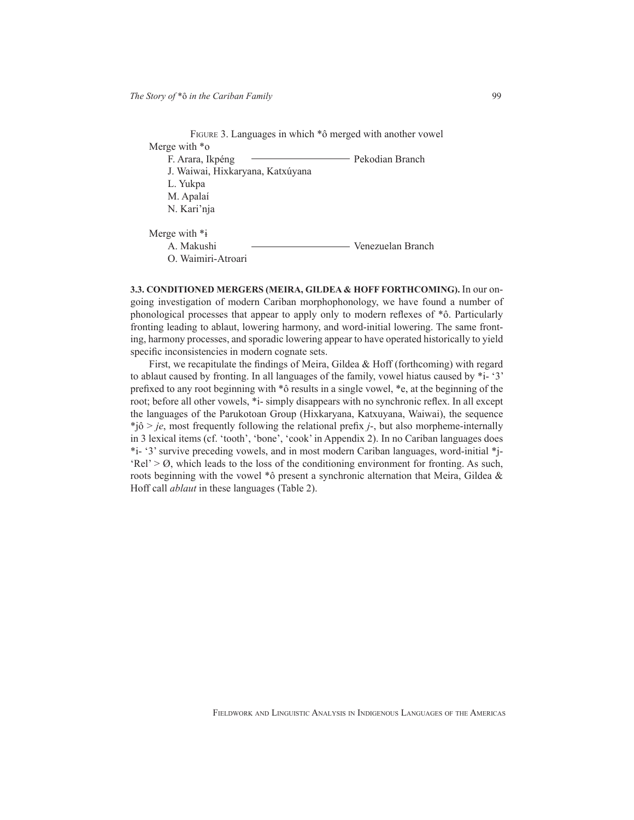| FIGURE 3. Languages in which *ô merged with another vowel |                   |  |  |  |  |  |  |  |  |  |  |
|-----------------------------------------------------------|-------------------|--|--|--|--|--|--|--|--|--|--|
| Merge with $*$ <sup>o</sup>                               |                   |  |  |  |  |  |  |  |  |  |  |
| F. Arara, Ikpéng                                          | Pekodian Branch   |  |  |  |  |  |  |  |  |  |  |
| J. Waiwai, Hixkaryana, Katxúyana                          |                   |  |  |  |  |  |  |  |  |  |  |
| L. Yukpa                                                  |                   |  |  |  |  |  |  |  |  |  |  |
| M. Apalaí                                                 |                   |  |  |  |  |  |  |  |  |  |  |
| N. Kari'nja                                               |                   |  |  |  |  |  |  |  |  |  |  |
| Merge with $*_1$                                          |                   |  |  |  |  |  |  |  |  |  |  |
| A. Makushi                                                | Venezuelan Branch |  |  |  |  |  |  |  |  |  |  |
| O Waimiri-Atroari                                         |                   |  |  |  |  |  |  |  |  |  |  |

**3.3. CONDITIONED MERGERS (MEIRA, GILDEA & HOFF FORTHCOMING).** In our ongoing investigation of modern Cariban morphophonology, we have found a number of phonological processes that appear to apply only to modern reflexes of \*ô. Particularly fronting leading to ablaut, lowering harmony, and word-initial lowering. The same fronting, harmony processes, and sporadic lowering appear to have operated historically to yield specific inconsistencies in modern cognate sets.

First, we recapitulate the findings of Meira, Gildea & Hoff (forthcoming) with regard to ablaut caused by fronting. In all languages of the family, vowel hiatus caused by  $i$ - '3' prefixed to any root beginning with \*ô results in a single vowel, \*e, at the beginning of the root; before all other vowels, \*i- simply disappears with no synchronic reflex. In all except the languages of the Parukotoan Group (Hixkaryana, Katxuyana, Waiwai), the sequence \*jô > *je*, most frequently following the relational prefix *j*-, but also morpheme-internally in 3 lexical items (cf. 'tooth', 'bone', 'cook' in Appendix 2). In no Cariban languages does \*i- '3' survive preceding vowels, and in most modern Cariban languages, word-initial \*j-  $'Rel' > \emptyset$ , which leads to the loss of the conditioning environment for fronting. As such, roots beginning with the vowel  $*$ ô present a synchronic alternation that Meira, Gildea  $\&$ Hoff call *ablaut* in these languages (Table 2).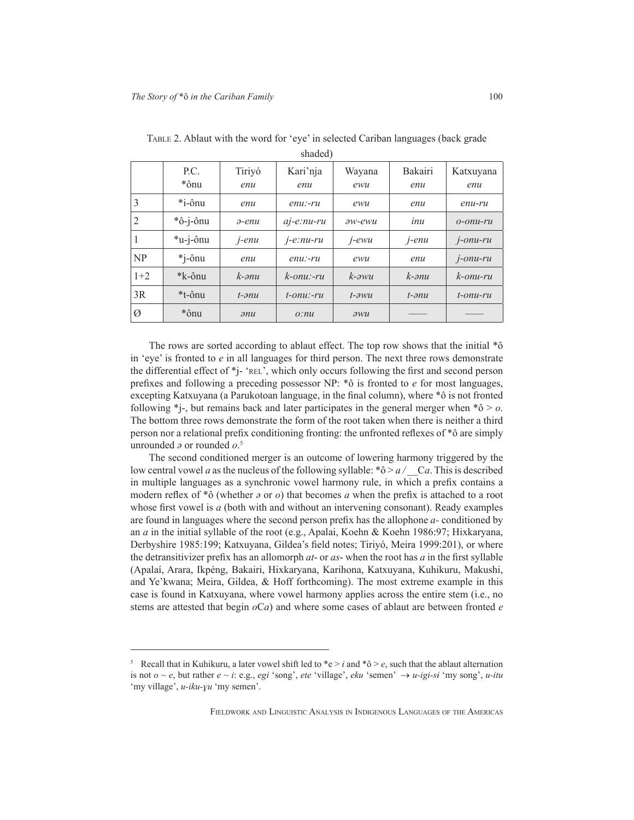|                | shaded)     |                        |                              |                         |          |                    |  |  |  |  |  |  |  |
|----------------|-------------|------------------------|------------------------------|-------------------------|----------|--------------------|--|--|--|--|--|--|--|
|                | P.C.        | Tiriyó                 | Kari'nja                     | Wayana                  | Bakairi  | Katxuyana          |  |  |  |  |  |  |  |
|                | *ônu        | enu                    | enu                          | ewu                     | enu      | enu                |  |  |  |  |  |  |  |
| 3              | *i-ônu      | enu                    | $enu$ :-ru                   | ewu                     | enu      | enu-ru             |  |  |  |  |  |  |  |
| $\overline{2}$ | $*$ ô-j-ônu | $\partial$ -enu        | $a$ <i>j</i> -e: $nu$ - $ru$ | $\partial W$ -ewu       | inu      | $o$ - $onu$ - $ru$ |  |  |  |  |  |  |  |
| 1              | *u-j-ônu    | j-enu                  | j-e:nu-ru                    | j-ewu                   | j-enu    | <i>j</i> -onu-ru   |  |  |  |  |  |  |  |
| N <sub>P</sub> | $*$ j-ônu   | enu                    | $enu$ :-ru                   | ewu                     | enu      | j-onu-ru           |  |  |  |  |  |  |  |
| $1+2$          | *k-ônu      | $k$ -ənu               | k-onu:-ru                    | $k$ - $\partial W$      | $k$ -ənu | k-onu-ru           |  |  |  |  |  |  |  |
| 3R             | *t-ônu      | $t$ - $\partial$ nu    | t-onu:-ru                    | $t$ - $\partial W$ u    | t-ənu    | t-onu-ru           |  |  |  |  |  |  |  |
| Ø              | *ônu        | $\partial \mathcal{U}$ | o:nu                         | $\partial W\mathcal{U}$ |          |                    |  |  |  |  |  |  |  |

Table 2. Ablaut with the word for 'eye' in selected Cariban languages (back grade

The rows are sorted according to ablaut effect. The top row shows that the initial \*ô in 'eye' is fronted to *e* in all languages for third person. The next three rows demonstrate the differential effect of \*j- 'REL', which only occurs following the first and second person prefixes and following a preceding possessor NP: \*ô is fronted to *e* for most languages, excepting Katxuyana (a Parukotoan language, in the final column), where \*ô is not fronted following  $\ast$ j-, but remains back and later participates in the general merger when  $\ast$ ô > *o*. The bottom three rows demonstrate the form of the root taken when there is neither a third person nor a relational prefix conditioning fronting: the unfronted reflexes of \*ô are simply unrounded *ə* or rounded *o*. 5

The second conditioned merger is an outcome of lowering harmony triggered by the low central vowel *a* as the nucleus of the following syllable: \* $\hat{o} > a / C a$ . This is described in multiple languages as a synchronic vowel harmony rule, in which a prefix contains a modern reflex of \*ô (whether *ə* or *o*) that becomes *a* when the prefix is attached to a root whose first vowel is *a* (both with and without an intervening consonant). Ready examples are found in languages where the second person prefix has the allophone *a-* conditioned by an *a* in the initial syllable of the root (e.g., Apalai, Koehn & Koehn 1986:97; Hixkaryana, Derbyshire 1985:199; Katxuyana, Gildea's field notes; Tiriyó, Meira 1999:201), or where the detransitivizer prefix has an allomorph *at*- or *as*- when the root has *a* in the first syllable (Apalaí, Arara, Ikpéng, Bakairi, Hixkaryana, Karihona, Katxuyana, Kuhikuru, Makushi, and Ye'kwana; Meira, Gildea, & Hoff forthcoming). The most extreme example in this case is found in Katxuyana, where vowel harmony applies across the entire stem (i.e., no stems are attested that begin *o*C*a*) and where some cases of ablaut are between fronted *e*

<sup>&</sup>lt;sup>5</sup> Recall that in Kuhikuru, a later vowel shift led to  $e > i$  and  $\phi > e$ , such that the ablaut alternation is not  $o \sim e$ , but rather  $e \sim i$ : e.g., *egi* 'song', *ete* 'village', *eku* 'semen'  $\rightarrow u$ -*igi-si* 'my song', *u-itu* 'my village', *u-iku-ɣu* 'my semen'.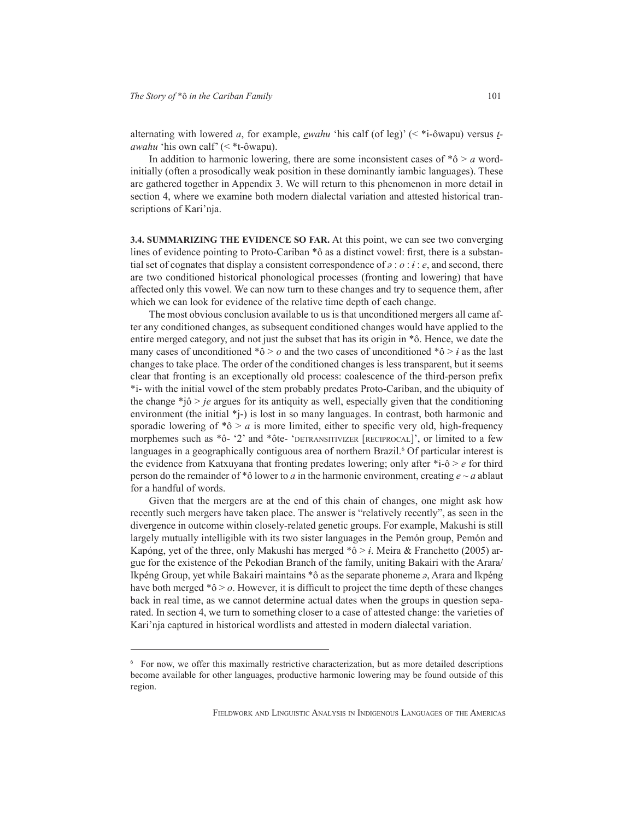alternating with lowered *a*, for example, *ewahu* 'his calf (of leg)' (< \*i-ôwapu) versus *tawahu* 'his own calf' (< \*t-ôwapu).

In addition to harmonic lowering, there are some inconsistent cases of  $\ast$ ô > *a* wordinitially (often a prosodically weak position in these dominantly iambic languages). These are gathered together in Appendix 3. We will return to this phenomenon in more detail in section 4, where we examine both modern dialectal variation and attested historical transcriptions of Kari'nja.

**3.4. SUMMARIZING THE EVIDENCE SO FAR.** At this point, we can see two converging lines of evidence pointing to Proto-Cariban \*ô as a distinct vowel: first, there is a substantial set of cognates that display a consistent correspondence of *ə* : *o* : *ɨ* : *e*, and second, there are two conditioned historical phonological processes (fronting and lowering) that have affected only this vowel. We can now turn to these changes and try to sequence them, after which we can look for evidence of the relative time depth of each change.

The most obvious conclusion available to us is that unconditioned mergers all came after any conditioned changes, as subsequent conditioned changes would have applied to the entire merged category, and not just the subset that has its origin in \*ô. Hence, we date the many cases of unconditioned  $\ast \hat{o} > o$  and the two cases of unconditioned  $\ast \hat{o} > i$  as the last changes to take place. The order of the conditioned changes is less transparent, but it seems clear that fronting is an exceptionally old process: coalescence of the third-person prefix \*i- with the initial vowel of the stem probably predates Proto-Cariban, and the ubiquity of the change  $\dot{\gamma}$  *je* argues for its antiquity as well, especially given that the conditioning environment (the initial \*j-) is lost in so many languages. In contrast, both harmonic and sporadic lowering of  $\ast \hat{o} > a$  is more limited, either to specific very old, high-frequency morphemes such as \*ô- '2' and \*ôte- 'DETRANSITIVIZER [RECIPROCAL]', or limited to a few languages in a geographically contiguous area of northern Brazil.<sup>6</sup> Of particular interest is the evidence from Katxuyana that fronting predates lowering; only after  $\dot{\gamma}$ - $\dot{\delta}$  > *e* for third person do the remainder of  $*$ ô lower to *a* in the harmonic environment, creating  $e \sim a$  ablaut for a handful of words.

Given that the mergers are at the end of this chain of changes, one might ask how recently such mergers have taken place. The answer is "relatively recently", as seen in the divergence in outcome within closely-related genetic groups. For example, Makushi is still largely mutually intelligible with its two sister languages in the Pemón group, Pemón and Kapóng, yet of the three, only Makushi has merged  $\text{*}o \geq i$ . Meira & Franchetto (2005) argue for the existence of the Pekodian Branch of the family, uniting Bakairi with the Arara/ Ikpéng Group, yet while Bakairi maintains \*ô as the separate phoneme *ə*, Arara and Ikpéng have both merged \*ô > *o*. However, it is difficult to project the time depth of these changes back in real time, as we cannot determine actual dates when the groups in question separated. In section 4, we turn to something closer to a case of attested change: the varieties of Kari'nja captured in historical wordlists and attested in modern dialectal variation.

<sup>6</sup> For now, we offer this maximally restrictive characterization, but as more detailed descriptions become available for other languages, productive harmonic lowering may be found outside of this region.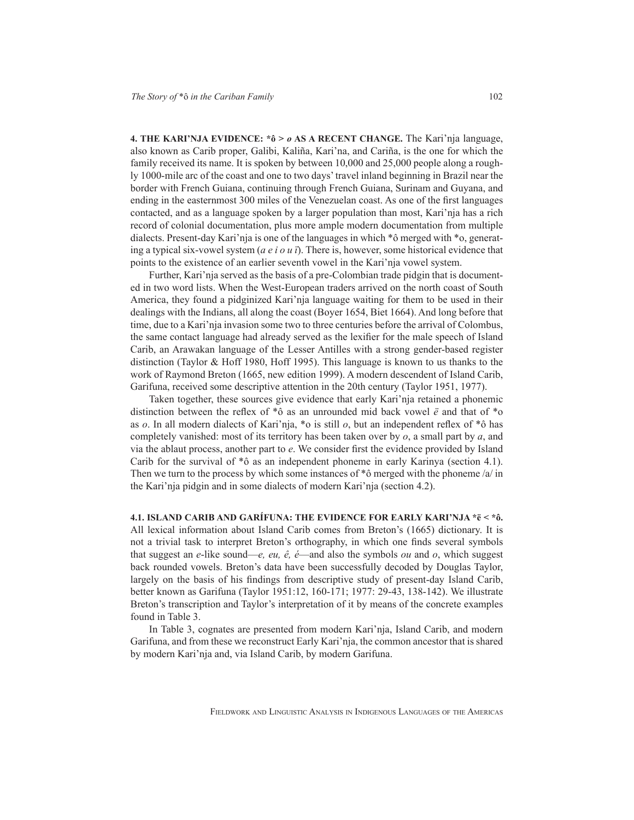**4. THE KARI'NJA EVIDENCE: \*ô >** *o* **AS A RECENT CHANGE.** The Kari'nja language, also known as Carib proper, Galibi, Kaliña, Kari'na, and Cariña, is the one for which the family received its name. It is spoken by between 10,000 and 25,000 people along a roughly 1000-mile arc of the coast and one to two days' travel inland beginning in Brazil near the border with French Guiana, continuing through French Guiana, Surinam and Guyana, and ending in the easternmost 300 miles of the Venezuelan coast. As one of the first languages contacted, and as a language spoken by a larger population than most, Kari'nja has a rich record of colonial documentation, plus more ample modern documentation from multiple dialects. Present-day Kari'nja is one of the languages in which \*ô merged with \*o, generating a typical six-vowel system (*a e i o u ï*). There is, however, some historical evidence that points to the existence of an earlier seventh vowel in the Kari'nja vowel system.

Further, Kari'nja served as the basis of a pre-Colombian trade pidgin that is documented in two word lists. When the West-European traders arrived on the north coast of South America, they found a pidginized Kari'nja language waiting for them to be used in their dealings with the Indians, all along the coast (Boyer 1654, Biet 1664). And long before that time, due to a Kari'nja invasion some two to three centuries before the arrival of Colombus, the same contact language had already served as the lexifier for the male speech of Island Carib, an Arawakan language of the Lesser Antilles with a strong gender-based register distinction (Taylor & Hoff 1980, Hoff 1995). This language is known to us thanks to the work of Raymond Breton (1665, new edition 1999). A modern descendent of Island Carib, Garifuna, received some descriptive attention in the 20th century (Taylor 1951, 1977).

Taken together, these sources give evidence that early Kari'nja retained a phonemic distinction between the reflex of \*ô as an unrounded mid back vowel *ë* and that of \*o as *o*. In all modern dialects of Kari'nja, \*o is still *o*, but an independent reflex of \*ô has completely vanished: most of its territory has been taken over by *o*, a small part by *a*, and via the ablaut process, another part to *e*. We consider first the evidence provided by Island Carib for the survival of \*ô as an independent phoneme in early Karinya (section 4.1). Then we turn to the process by which some instances of  $*$ ô merged with the phoneme /a/ in the Kari'nja pidgin and in some dialects of modern Kari'nja (section 4.2).

**4.1. ISLAND CARIB AND GARÍFUNA: THE EVIDENCE FOR EARLY KARI'NJA \*ë < \*ô.** All lexical information about Island Carib comes from Breton's (1665) dictionary. It is not a trivial task to interpret Breton's orthography, in which one finds several symbols that suggest an *e*-like sound—*e, eu, ê, é*—and also the symbols *ou* and *o*, which suggest back rounded vowels. Breton's data have been successfully decoded by Douglas Taylor, largely on the basis of his findings from descriptive study of present-day Island Carib, better known as Garifuna (Taylor 1951:12, 160-171; 1977: 29-43, 138-142). We illustrate Breton's transcription and Taylor's interpretation of it by means of the concrete examples found in Table 3.

In Table 3, cognates are presented from modern Kari'nja, Island Carib, and modern Garifuna, and from these we reconstruct Early Kari'nja, the common ancestor that is shared by modern Kari'nja and, via Island Carib, by modern Garifuna.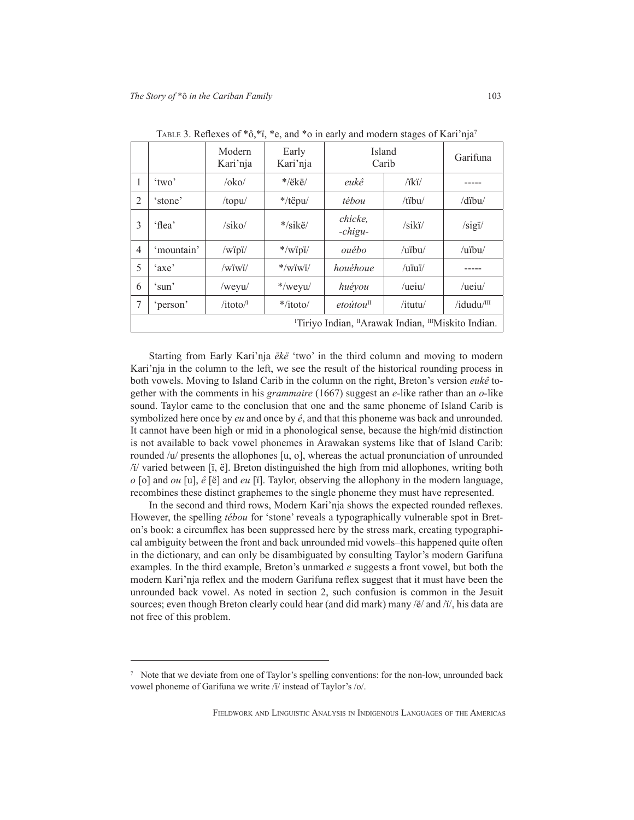|                |                                                                                         | Modern<br>Kari'nja | Early<br>Kari'nja | Island<br>Carib          |                          | Garifuna                        |  |  |  |  |  |  |
|----------------|-----------------------------------------------------------------------------------------|--------------------|-------------------|--------------------------|--------------------------|---------------------------------|--|--|--|--|--|--|
|                | 'two'                                                                                   | $\alpha$ ko/       | */ëkë/            | eukê                     | /ïkï/                    |                                 |  |  |  |  |  |  |
| $\overline{2}$ | 'stone'                                                                                 | /topu/             | */tëpu/           | tébou                    | /tibu/                   | $\frac{d}{d}$ ibu $\frac{d}{d}$ |  |  |  |  |  |  |
| 3              | 'flea'                                                                                  | /siko/             | $*$ /sikë/        | chicke,<br>-chigu-       | /sikil                   | $/s$ igï/                       |  |  |  |  |  |  |
| 4              | 'mountain'                                                                              | $/$ wïpï $/$       | $*$ /wipi/        | ouébo                    | $\langle$ uïbu $\rangle$ | $\langle$ uïbu $\rangle$        |  |  |  |  |  |  |
| 5              | 'axe'                                                                                   | $\sqrt{w}$ wivi    | $*$ /wïwï/        | houéhoue                 | $/$ uïuï $/$             |                                 |  |  |  |  |  |  |
| 6              | 'sum'                                                                                   | /weyu/             | */weyu/           | huéyou                   | /ueiu/                   | /ueiu/                          |  |  |  |  |  |  |
| 7              | 'person'                                                                                | /itoto/I           | $*$ /itoto/       | $eto$ útou <sup>II</sup> | /itutu/                  | /idudu/III                      |  |  |  |  |  |  |
|                | <sup>I</sup> Tiriyo Indian, <sup>II</sup> Arawak Indian, <sup>III</sup> Miskito Indian. |                    |                   |                          |                          |                                 |  |  |  |  |  |  |

Table 3. Reflexes of \*ô,\*ï, \*e, and \*o in early and modern stages of Kari'nja7

Starting from Early Kari'nja *ëkë* 'two' in the third column and moving to modern Kari'nja in the column to the left, we see the result of the historical rounding process in both vowels. Moving to Island Carib in the column on the right, Breton's version *eukê* together with the comments in his *grammaire* (1667) suggest an *e-*like rather than an *o-*like sound. Taylor came to the conclusion that one and the same phoneme of Island Carib is symbolized here once by  $eu$  and once by  $\hat{e}$ , and that this phoneme was back and unrounded. It cannot have been high or mid in a phonological sense, because the high/mid distinction is not available to back vowel phonemes in Arawakan systems like that of Island Carib: rounded /u/ presents the allophones [u, o], whereas the actual pronunciation of unrounded /ï/ varied between [ï, ë]. Breton distinguished the high from mid allophones, writing both *o* [o] and *ou* [u], *ê* [ë] and *eu* [ï]. Taylor, observing the allophony in the modern language, recombines these distinct graphemes to the single phoneme they must have represented.

In the second and third rows, Modern Kari'nja shows the expected rounded reflexes. However, the spelling *tébou* for 'stone' reveals a typographically vulnerable spot in Breton's book: a circumflex has been suppressed here by the stress mark, creating typographical ambiguity between the front and back unrounded mid vowels–this happened quite often in the dictionary, and can only be disambiguated by consulting Taylor's modern Garifuna examples. In the third example, Breton's unmarked *e* suggests a front vowel, but both the modern Kari'nja reflex and the modern Garifuna reflex suggest that it must have been the unrounded back vowel. As noted in section 2, such confusion is common in the Jesuit sources; even though Breton clearly could hear (and did mark) many  $\ell \in \ell$  and  $\ell i$ , his data are not free of this problem.

<sup>7</sup> Note that we deviate from one of Taylor's spelling conventions: for the non-low, unrounded back vowel phoneme of Garifuna we write /ï/ instead of Taylor's /o/.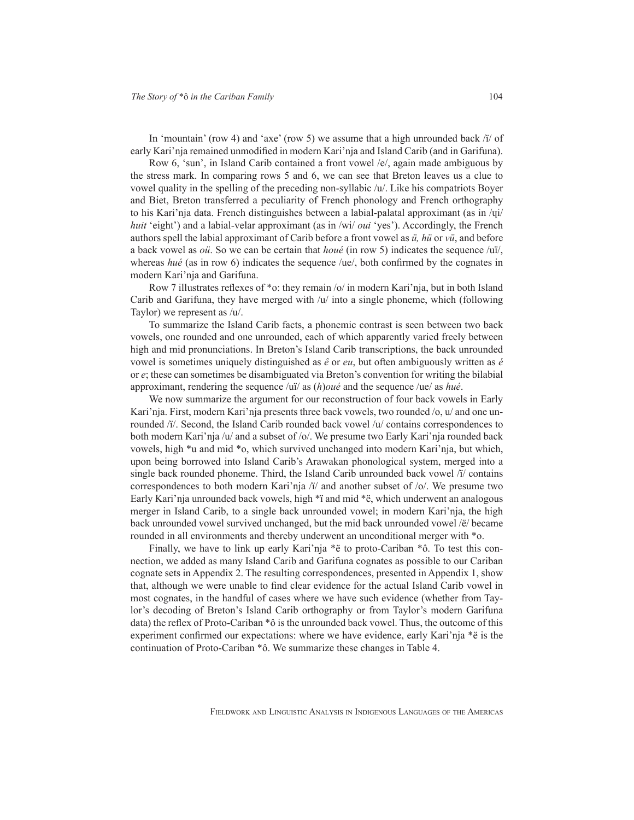In 'mountain' (row 4) and 'axe' (row 5) we assume that a high unrounded back /ï/ of early Kari'nja remained unmodified in modern Kari'nja and Island Carib (and in Garifuna).

Row 6, 'sun', in Island Carib contained a front vowel /e/, again made ambiguous by the stress mark. In comparing rows 5 and 6, we can see that Breton leaves us a clue to vowel quality in the spelling of the preceding non-syllabic /u/. Like his compatriots Boyer and Biet, Breton transferred a peculiarity of French phonology and French orthography to his Kari'nja data. French distinguishes between a labial-palatal approximant (as in  $\overline{q}$ ) *huit* 'eight') and a labial-velar approximant (as in /wi/ *oui* 'yes'). Accordingly, the French authors spell the labial approximant of Carib before a front vowel as *ü, hü* or *vü*, and before a back vowel as *oü*. So we can be certain that *houé* (in row 5) indicates the sequence /uï/, whereas *hué* (as in row 6) indicates the sequence /ue/, both confirmed by the cognates in modern Kari'nja and Garifuna.

Row 7 illustrates reflexes of \*o: they remain /o/ in modern Kari'nja, but in both Island Carib and Garifuna, they have merged with  $\sqrt{u}$  into a single phoneme, which (following Taylor) we represent as /u/.

To summarize the Island Carib facts, a phonemic contrast is seen between two back vowels, one rounded and one unrounded, each of which apparently varied freely between high and mid pronunciations. In Breton's Island Carib transcriptions, the back unrounded vowel is sometimes uniquely distinguished as *ê* or *eu*, but often ambiguously written as *é* or *e*; these can sometimes be disambiguated via Breton's convention for writing the bilabial approximant, rendering the sequence /uï/ as (*h*)*oué* and the sequence /ue/ as *hué*.

We now summarize the argument for our reconstruction of four back vowels in Early Kari'nja. First, modern Kari'nja presents three back vowels, two rounded /o, u/ and one unrounded /ï/. Second, the Island Carib rounded back vowel /u/ contains correspondences to both modern Kari'nja /u/ and a subset of /o/. We presume two Early Kari'nja rounded back vowels, high \*u and mid \*o, which survived unchanged into modern Kari'nja, but which, upon being borrowed into Island Carib's Arawakan phonological system, merged into a single back rounded phoneme. Third, the Island Carib unrounded back vowel /ï/ contains correspondences to both modern Kari'nja /ï/ and another subset of /o/. We presume two Early Kari'nja unrounded back vowels, high \*ï and mid \*ë, which underwent an analogous merger in Island Carib, to a single back unrounded vowel; in modern Kari'nja, the high back unrounded vowel survived unchanged, but the mid back unrounded vowel /ë/ became rounded in all environments and thereby underwent an unconditional merger with \*o.

Finally, we have to link up early Kari'nja \*ë to proto-Cariban \*ô. To test this connection, we added as many Island Carib and Garifuna cognates as possible to our Cariban cognate sets in Appendix 2. The resulting correspondences, presented in Appendix 1, show that, although we were unable to find clear evidence for the actual Island Carib vowel in most cognates, in the handful of cases where we have such evidence (whether from Taylor's decoding of Breton's Island Carib orthography or from Taylor's modern Garifuna data) the reflex of Proto-Cariban \*ô is the unrounded back vowel. Thus, the outcome of this experiment confirmed our expectations: where we have evidence, early Kari'nja \*ë is the continuation of Proto-Cariban \*ô. We summarize these changes in Table 4.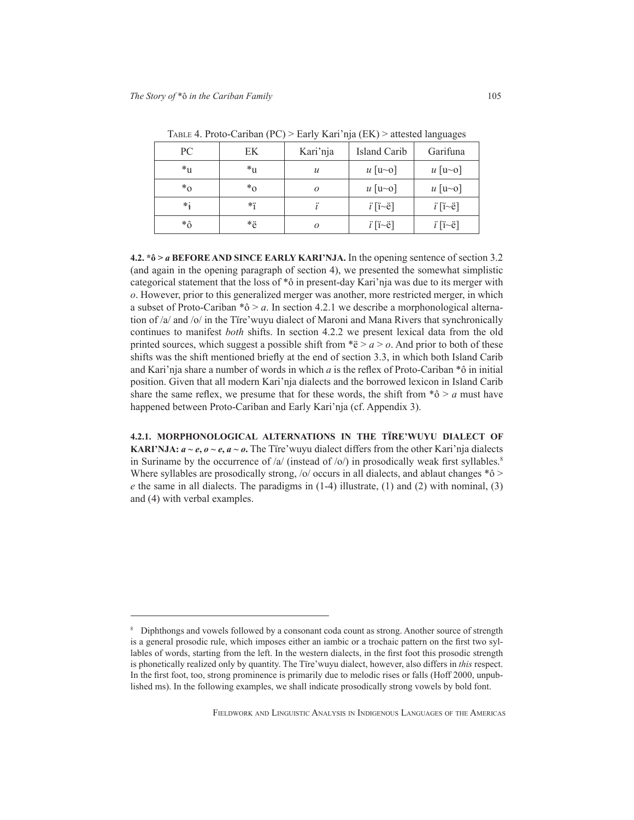| PC               | EK               | Kari'nja      | Island Carib                | Garifuna  |
|------------------|------------------|---------------|-----------------------------|-----------|
| *u               | $*_{\mathrm{u}}$ | $\mathcal{U}$ | $u$ [u~o]                   | $u$ [u~o] |
| $*_{0}$          | $^*$ 0           | 0             | $u$ [u~o]                   | $u$ [u~o] |
| $*_1$            | *ï               |               | $\ddot{i}$ [i~ $\ddot{e}$ ] | $i$ [i~ë] |
| $\hat{\sigma}^*$ | *ë               |               | $\ddot{i}$ [i~ $\ddot{e}$ ] | $i$ [i~ë] |

Table 4. Proto-Cariban (PC) > Early Kari'nja (EK) > attested languages

**4.2. \*ô >** *a* **BEFORE AND SINCE EARLY KARI'NJA.** In the opening sentence of section 3.2 (and again in the opening paragraph of section 4), we presented the somewhat simplistic categorical statement that the loss of \*ô in present-day Kari'nja was due to its merger with *o*. However, prior to this generalized merger was another, more restricted merger, in which a subset of Proto-Cariban  $\hat{\phi} > a$ . In section 4.2.1 we describe a morphonological alternation of /a/ and /o/ in the Tïre'wuyu dialect of Maroni and Mana Rivers that synchronically continues to manifest *both* shifts. In section 4.2.2 we present lexical data from the old printed sources, which suggest a possible shift from  $e^* \ge a > 0$ . And prior to both of these shifts was the shift mentioned briefly at the end of section 3.3, in which both Island Carib and Kari'nja share a number of words in which *a* is the reflex of Proto-Cariban \*ô in initial position. Given that all modern Kari'nja dialects and the borrowed lexicon in Island Carib share the same reflex, we presume that for these words, the shift from  $\hat{\sigma} > a$  must have happened between Proto-Cariban and Early Kari'nja (cf. Appendix 3).

**4.2.1. MORPHONOLOGICAL ALTERNATIONS IN THE TÏRE'WUYU DIALECT OF KARI'NJA:**  $a \sim e$ ,  $o \sim e$ ,  $a \sim o$ . The Tire' wuyu dialect differs from the other Kari'nja dialects in Suriname by the occurrence of  $\alpha$  (instead of  $\alpha$ ) in prosodically weak first syllables.<sup>8</sup> Where syllables are prosodically strong,  $\frac{\delta}{\delta}$  occurs in all dialects, and ablaut changes  $\delta$  > *e* the same in all dialects. The paradigms in  $(1-4)$  illustrate,  $(1)$  and  $(2)$  with nominal,  $(3)$ and (4) with verbal examples.

<sup>&</sup>lt;sup>8</sup> Diphthongs and vowels followed by a consonant coda count as strong. Another source of strength is a general prosodic rule, which imposes either an iambic or a trochaic pattern on the first two syllables of words, starting from the left. In the western dialects, in the first foot this prosodic strength is phonetically realized only by quantity. The Tïre'wuyu dialect, however, also differs in *this* respect. In the first foot, too, strong prominence is primarily due to melodic rises or falls (Hoff 2000, unpublished ms). In the following examples, we shall indicate prosodically strong vowels by bold font.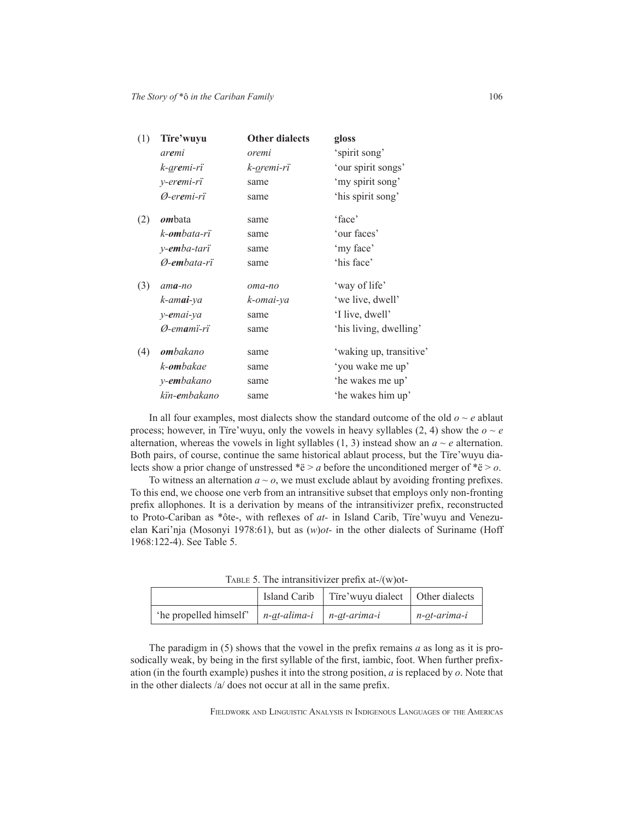| (1) | Tire'wuyu            | <b>Other dialects</b> | gloss                   |
|-----|----------------------|-----------------------|-------------------------|
|     | aremi                | oremi                 | 'spirit song'           |
|     | k-aremi-rï           | k- <u>o</u> remi-rï   | 'our spirit songs'      |
|     | y-eremi-rï           | same                  | 'my spirit song'        |
|     | Ø-eremi-rï           | same                  | 'his spirit song'       |
| (2) | <i>ombata</i>        | same                  | 'face'                  |
|     | k- <b>om</b> bata-ri | same                  | 'our faces'             |
|     | y-emba-tari          | same                  | 'my face'               |
|     | Ø-embata-rï          | same                  | 'his face'              |
| (3) | $ama-no$             | oma-no                | 'way of life'           |
|     | k-amai-ya            | k-omai-ya             | 'we live, dwell'        |
|     | y-emai-ya            | same                  | 'I live, dwell'         |
|     | Ø-emamï-rï           | same                  | 'his living, dwelling'  |
| (4) | <b>om</b> bakano     | same                  | 'waking up, transitive' |
|     | k- <b>om</b> bakae   | same                  | 'you wake me up'        |
|     | y-embakano           | same                  | 'he wakes me up'        |
|     | kïn-embakano         | same                  | 'he wakes him up'       |

In all four examples, most dialects show the standard outcome of the old *o ~ e* ablaut process; however, in Tire'wuyu, only the vowels in heavy syllables  $(2, 4)$  show the  $o \sim e$ alternation, whereas the vowels in light syllables  $(1, 3)$  instead show an  $a \sim e$  alternation. Both pairs, of course, continue the same historical ablaut process, but the Tïre'wuyu dialects show a prior change of unstressed \*ë > *a* before the unconditioned merger of \*ë > *o*.

To witness an alternation  $a \sim o$ , we must exclude ablaut by avoiding fronting prefixes. To this end, we choose one verb from an intransitive subset that employs only non-fronting prefix allophones. It is a derivation by means of the intransitivizer prefix, reconstructed to Proto-Cariban as \*ôte-, with reflexes of *at-* in Island Carib, Tïre'wuyu and Venezuelan Kari'nja (Mosonyi 1978:61), but as (*w*)*ot-* in the other dialects of Suriname (Hoff 1968:122-4). See Table 5.

TABLE 5. The intransitivizer prefix at- $/(w)$ ot-

|                                                                                    | Island Carib   Tire'wuyu dialect   Other dialects |                 |
|------------------------------------------------------------------------------------|---------------------------------------------------|-----------------|
| 'he propelled himself' $\mid n$ - <i>at</i> -alima-i $\mid n$ - <i>at</i> -arima-i |                                                   | $n$ -ot-arima-i |

The paradigm in (5) shows that the vowel in the prefix remains *a* as long as it is prosodically weak, by being in the first syllable of the first, iambic, foot. When further prefixation (in the fourth example) pushes it into the strong position, *a* is replaced by *o*. Note that in the other dialects /a/ does not occur at all in the same prefix.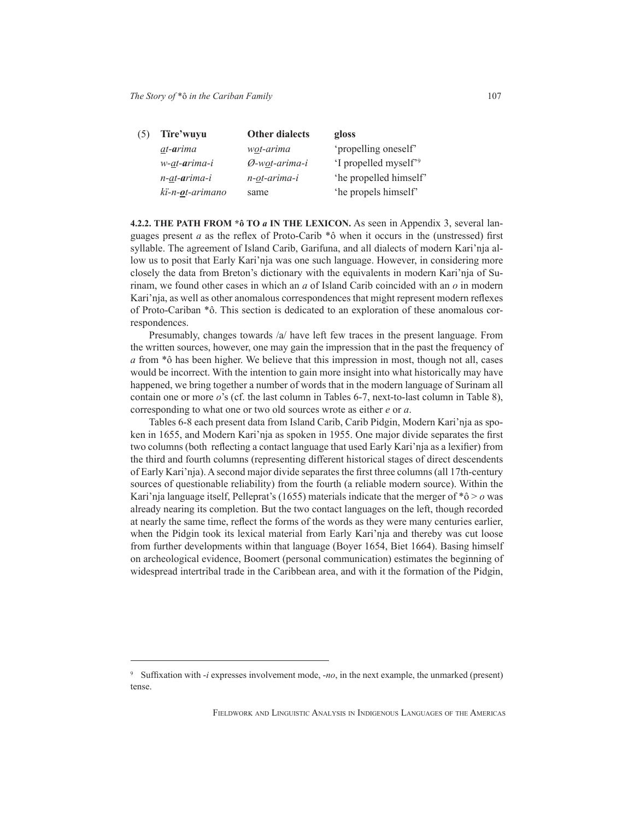| (5) | Tire'wuyu                | <b>Other dialects</b> | gloss                             |
|-----|--------------------------|-----------------------|-----------------------------------|
|     | at-arima                 | wot-arima             | 'propelling oneself'              |
|     | w-at-arima-i             | $Q$ -wot-arima-i      | 'I propelled myself <sup>"9</sup> |
|     | n-at-arima-i             | n-ot-arima-i          | 'he propelled himself'            |
|     | kï-n- <u>o</u> t-arimano | same                  | 'he propels himself'              |

**4.2.2. THE PATH FROM \*ô TO** *a* **IN THE LEXICON.** As seen in Appendix 3, several languages present *a* as the reflex of Proto-Carib \*ô when it occurs in the (unstressed) first syllable. The agreement of Island Carib, Garifuna, and all dialects of modern Kari'nja allow us to posit that Early Kari'nja was one such language. However, in considering more closely the data from Breton's dictionary with the equivalents in modern Kari'nja of Surinam, we found other cases in which an *a* of Island Carib coincided with an *o* in modern Kari'nja, as well as other anomalous correspondences that might represent modern reflexes of Proto-Cariban \*ô. This section is dedicated to an exploration of these anomalous correspondences.

Presumably, changes towards /a/ have left few traces in the present language. From the written sources, however, one may gain the impression that in the past the frequency of *a* from \*ô has been higher. We believe that this impression in most, though not all, cases would be incorrect. With the intention to gain more insight into what historically may have happened, we bring together a number of words that in the modern language of Surinam all contain one or more *o*'s (cf. the last column in Tables 6-7, next-to-last column in Table 8), corresponding to what one or two old sources wrote as either *e* or *a*.

Tables 6-8 each present data from Island Carib, Carib Pidgin, Modern Kari'nja as spoken in 1655, and Modern Kari'nja as spoken in 1955. One major divide separates the first two columns (both reflecting a contact language that used Early Kari'nja as a lexifier) from the third and fourth columns (representing different historical stages of direct descendents of Early Kari'nja). A second major divide separates the first three columns (all 17th-century sources of questionable reliability) from the fourth (a reliable modern source). Within the Kari'nja language itself, Pelleprat's (1655) materials indicate that the merger of  $\ast$ ô > *o* was already nearing its completion. But the two contact languages on the left, though recorded at nearly the same time, reflect the forms of the words as they were many centuries earlier, when the Pidgin took its lexical material from Early Kari'nja and thereby was cut loose from further developments within that language (Boyer 1654, Biet 1664). Basing himself on archeological evidence, Boomert (personal communication) estimates the beginning of widespread intertribal trade in the Caribbean area, and with it the formation of the Pidgin,

<sup>9</sup> Suffixation with -*i* expresses involvement mode, -*no*, in the next example, the unmarked (present) tense.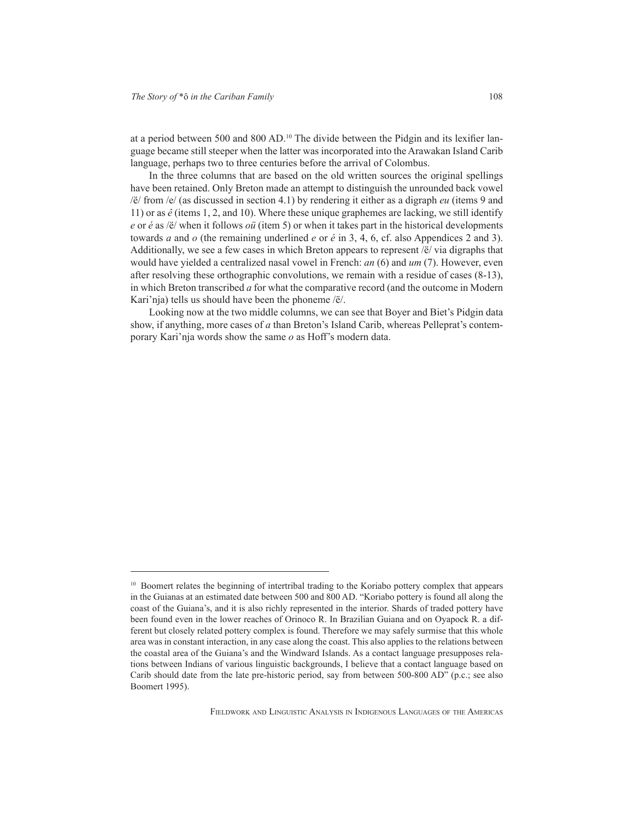at a period between 500 and 800 AD.<sup>10</sup> The divide between the Pidgin and its lexifier language became still steeper when the latter was incorporated into the Arawakan Island Carib language, perhaps two to three centuries before the arrival of Colombus.

In the three columns that are based on the old written sources the original spellings have been retained. Only Breton made an attempt to distinguish the unrounded back vowel /ë/ from /e/ (as discussed in section 4.1) by rendering it either as a digraph *eu* (items 9 and 11) or as *ê* (items 1, 2, and 10). Where these unique graphemes are lacking, we still identify *e* or *é* as /ë/ when it follows *oü* (item 5) or when it takes part in the historical developments towards *a* and *o* (the remaining underlined *e* or *é* in 3, 4, 6, cf. also Appendices 2 and 3). Additionally, we see a few cases in which Breton appears to represent /ë/ via digraphs that would have yielded a centralized nasal vowel in French: *an* (6) and *um* (7). However, even after resolving these orthographic convolutions, we remain with a residue of cases (8-13), in which Breton transcribed *a* for what the comparative record (and the outcome in Modern Kari'nja) tells us should have been the phoneme /ë/.

Looking now at the two middle columns, we can see that Boyer and Biet's Pidgin data show, if anything, more cases of *a* than Breton's Island Carib, whereas Pelleprat's contemporary Kari'nja words show the same *o* as Hoff's modern data.

<sup>&</sup>lt;sup>10</sup> Boomert relates the beginning of intertribal trading to the Koriabo pottery complex that appears in the Guianas at an estimated date between 500 and 800 AD. "Koriabo pottery is found all along the coast of the Guiana's, and it is also richly represented in the interior. Shards of traded pottery have been found even in the lower reaches of Orinoco R. In Brazilian Guiana and on Oyapock R. a different but closely related pottery complex is found. Therefore we may safely surmise that this whole area was in constant interaction, in any case along the coast. This also applies to the relations between the coastal area of the Guiana's and the Windward Islands. As a contact language presupposes relations between Indians of various linguistic backgrounds, I believe that a contact language based on Carib should date from the late pre-historic period, say from between 500-800 AD" (p.c.; see also Boomert 1995).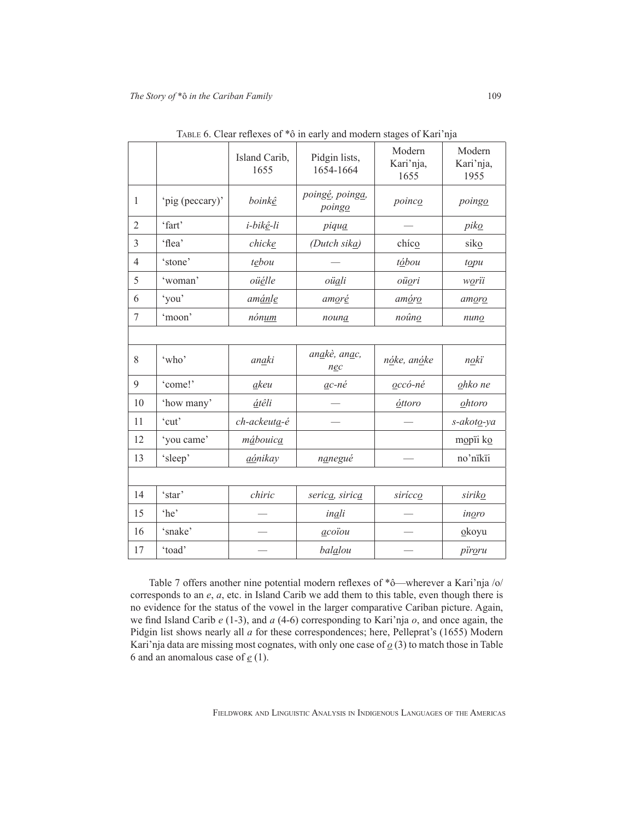|                |                 | Island Carib,<br>1655 | Pidgin lists,<br>1654-1664        | Modern<br>Kari'nja,<br>1655 | Modern<br>Kari'nja,<br>1955 |  |  |  |
|----------------|-----------------|-----------------------|-----------------------------------|-----------------------------|-----------------------------|--|--|--|
| $\mathbf{1}$   | 'pig (peccary)' | boinkê                | poingé, poinga,<br>poingo         | poinco                      | poingo                      |  |  |  |
| $\overline{2}$ | 'fart'          | i-bikê-li             | piqua                             |                             | pik <u>o</u>                |  |  |  |
| 3              | 'flea'          | chicke                | (Dutch sika)                      | chico                       | siko                        |  |  |  |
| $\overline{4}$ | 'stone'         | tebou                 |                                   | tóbou                       | topu                        |  |  |  |
| 5              | 'woman'         | oüélle                | oüali                             | oüori                       | worïi                       |  |  |  |
| 6              | 'you'           | amánle                | am <u>oré</u>                     | am <u>óro</u>               | amoro                       |  |  |  |
| 7              | 'moon'          | nónum                 | nouna                             | noûno                       | nuno                        |  |  |  |
|                |                 |                       |                                   |                             |                             |  |  |  |
| 8              | 'who'           | anaki                 | anakè, anac,<br>$n\underline{e}c$ | nóke, anóke                 | $n$ oki                     |  |  |  |
| 9              | 'come!'         | akeu                  | ac-né                             | occó-né                     | ohko ne                     |  |  |  |
| 10             | 'how many'      | átêli                 |                                   | óttoro                      | $o$ <i>htoro</i>            |  |  |  |
| 11             | 'cut'           | ch-ackeuta-é          |                                   |                             | s-akoto-ya                  |  |  |  |
| 12             | 'you came'      | mábouica              |                                   |                             | mopii ko                    |  |  |  |
| 13             | 'sleep'         | <i>aónikay</i>        | n <u>a</u> negué                  |                             | no'nïkïi                    |  |  |  |
|                |                 |                       |                                   |                             |                             |  |  |  |
| 14             | 'star'          | chiric                | serica, sirica                    | sirícco                     | siriko                      |  |  |  |
| 15             | 'he'            |                       | in a li                           |                             | in <u>o</u> ro              |  |  |  |
| 16             | 'snake'         |                       | acoïou                            |                             | $Q$ koyu                    |  |  |  |
| 17             | 'toad'          |                       | balalou                           |                             | piroru                      |  |  |  |

Table 6. Clear reflexes of \*ô in early and modern stages of Kari'nja

Table 7 offers another nine potential modern reflexes of \*ô—wherever a Kari'nja /o/ corresponds to an *e*, *a*, etc. in Island Carib we add them to this table, even though there is no evidence for the status of the vowel in the larger comparative Cariban picture. Again, we find Island Carib *e* (1-3), and *a* (4-6) corresponding to Kari'nja *o*, and once again, the Pidgin list shows nearly all *a* for these correspondences; here, Pelleprat's (1655) Modern Kari'nja data are missing most cognates, with only one case of  $\varrho$  (3) to match those in Table 6 and an anomalous case of  $\mathfrak{e}(1)$ .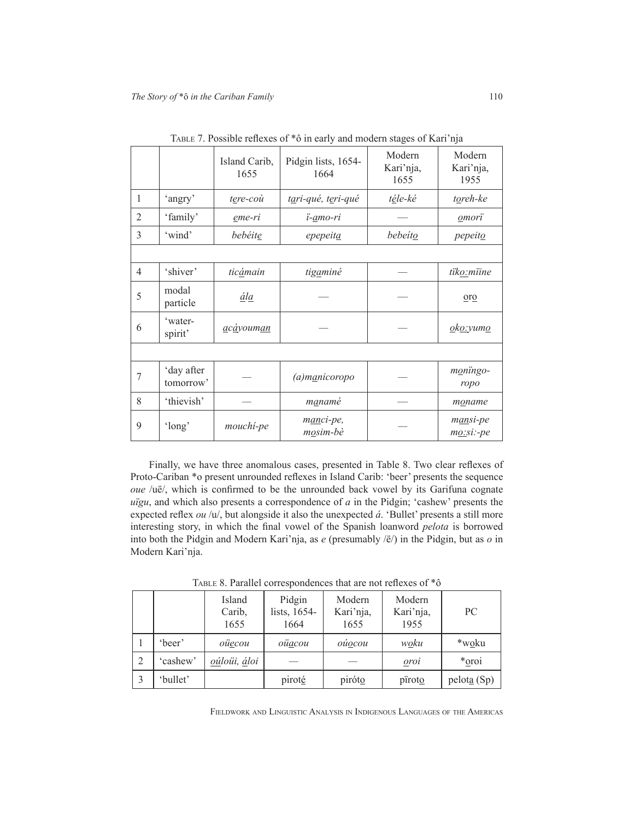|                |                         | Island Carib,<br>1655 | Pidgin lists, 1654-<br>1664 | Modern<br>Kari'nja,<br>1655 | Modern<br>Kari'nja,<br>1955                   |  |  |  |
|----------------|-------------------------|-----------------------|-----------------------------|-----------------------------|-----------------------------------------------|--|--|--|
| 1              | 'angry'                 | tere-coù              | tari-qué, teri-qué          | t <u>é</u> le-ké            | toreh-ke                                      |  |  |  |
| $\overline{2}$ | 'family'                | eme-ri                | ï-amo-ri                    |                             | omorï                                         |  |  |  |
| 3              | 'wind'                  | <i>bebéite</i>        | epepeita                    | bebeit <u>o</u>             | <i>pepeito</i>                                |  |  |  |
|                |                         |                       |                             |                             |                                               |  |  |  |
| $\overline{4}$ | 'shiver'                | ticámain              | tigaminé                    |                             | tik <u>o:</u> mïine                           |  |  |  |
| 5              | modal<br>particle       | $\frac{d}{da}$        |                             |                             | oro                                           |  |  |  |
| 6              | 'water-<br>spirit'      | acáyouman             |                             |                             | oko:yumo                                      |  |  |  |
|                |                         |                       |                             |                             |                                               |  |  |  |
| 7              | 'day after<br>tomorrow' |                       | (a)manicoropo               |                             | moningo-<br>ropo                              |  |  |  |
| 8              | 'thievish'              |                       | m <u>a</u> namé             |                             | moname                                        |  |  |  |
| 9              | 'long'                  | mouchi-pe             | manci-pe,<br>mosim-bè       |                             | m <u>an</u> si-pe<br>$m\underline{o}$ :si:-pe |  |  |  |

Table 7. Possible reflexes of \*ô in early and modern stages of Kari'nja

Finally, we have three anomalous cases, presented in Table 8. Two clear reflexes of Proto-Cariban \*o present unrounded reflexes in Island Carib: 'beer' presents the sequence *oue* /uë/, which is confirmed to be the unrounded back vowel by its Garifuna cognate *uïgu*, and which also presents a correspondence of *a* in the Pidgin; 'cashew' presents the expected reflex *ou* /u/, but alongside it also the unexpected *á*. 'Bullet' presents a still more interesting story, in which the final vowel of the Spanish loanword *pelota* is borrowed into both the Pidgin and Modern Kari'nja, as *e* (presumably /ë/) in the Pidgin, but as *o* in Modern Kari'nja.

|          | Island<br>Carib,<br>1655 | Pidgin<br>lists, 1654-<br>1664 | Modern<br>Kari'nja,<br>1655 | Modern<br>Kari'nja,<br>1955 | PC                  |  |  |  |
|----------|--------------------------|--------------------------------|-----------------------------|-----------------------------|---------------------|--|--|--|
| 'beer'   | oüecou                   | oüacou                         | oúocou                      | woku                        | *woku               |  |  |  |
| 'cashew' | oúloüi, áloi             |                                |                             | oroi                        | *oroi               |  |  |  |
| 'bullet' |                          | piroté                         | piróto                      | piroto                      | pelot <u>a</u> (Sp) |  |  |  |

Table 8. Parallel correspondences that are not reflexes of \*ô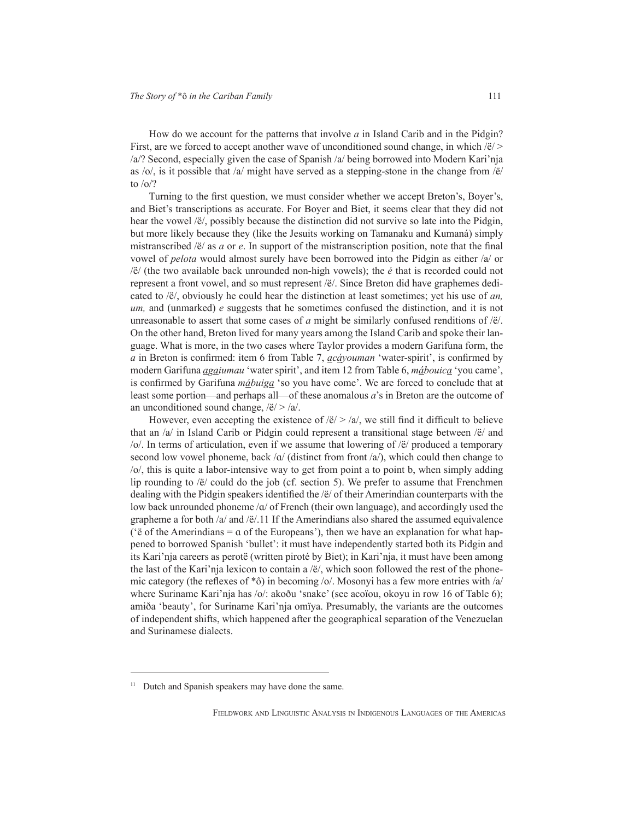How do we account for the patterns that involve *a* in Island Carib and in the Pidgin? First, are we forced to accept another wave of unconditioned sound change, in which  $\frac{\partial}{\partial \zeta}$ /a/? Second, especially given the case of Spanish /a/ being borrowed into Modern Kari'nja as  $\langle o \rangle$ , is it possible that  $\langle a \rangle$  might have served as a stepping-stone in the change from  $\langle \tilde{e} \rangle$ to /o/?

Turning to the first question, we must consider whether we accept Breton's, Boyer's, and Biet's transcriptions as accurate. For Boyer and Biet, it seems clear that they did not hear the vowel /ë/, possibly because the distinction did not survive so late into the Pidgin, but more likely because they (like the Jesuits working on Tamanaku and Kumaná) simply mistranscribed /ë/ as *a* or *e*. In support of the mistranscription position, note that the final vowel of *pelota* would almost surely have been borrowed into the Pidgin as either /a/ or /ë/ (the two available back unrounded non-high vowels); the *é* that is recorded could not represent a front vowel, and so must represent /ë/. Since Breton did have graphemes dedicated to /ë/, obviously he could hear the distinction at least sometimes; yet his use of *an, um,* and (unmarked) *e* suggests that he sometimes confused the distinction, and it is not unreasonable to assert that some cases of *a* might be similarly confused renditions of /ë/. On the other hand, Breton lived for many years among the Island Carib and spoke their language. What is more, in the two cases where Taylor provides a modern Garifuna form, the *a* in Breton is confirmed: item 6 from Table 7, *acáyouman* 'water-spirit', is confirmed by modern Garifuna *agaiumau* 'water spirit', and item 12 from Table 6, *mábouica* 'you came', is confirmed by Garifuna *mábuiga* 'so you have come'. We are forced to conclude that at least some portion—and perhaps all—of these anomalous *a*'s in Breton are the outcome of an unconditioned sound change,  $\langle \ddot{e} \rangle > \frac{a}{a}$ .

However, even accepting the existence of  $\langle \ddot{e} \rangle > \langle a \rangle$ , we still find it difficult to believe that an  $a/\|a\|$  in Island Carib or Pidgin could represent a transitional stage between  $\langle \ddot{e}/\|$  and /o/. In terms of articulation, even if we assume that lowering of /ë/ produced a temporary second low vowel phoneme, back / $\alpha$ / (distinct from front / $\alpha$ ), which could then change to /o/, this is quite a labor-intensive way to get from point a to point b, when simply adding lip rounding to /ë/ could do the job (cf. section 5). We prefer to assume that Frenchmen dealing with the Pidgin speakers identified the /ë/ of their Amerindian counterparts with the low back unrounded phoneme /ɑ/ of French (their own language), and accordingly used the grapheme a for both  $/a$  and  $/e/11$  If the Amerindians also shared the assumed equivalence ( $\degree$  e of the Amerindians =  $\alpha$  of the Europeans'), then we have an explanation for what happened to borrowed Spanish 'bullet': it must have independently started both its Pidgin and its Kari'nja careers as perotë (written piroté by Biet); in Kari'nja, it must have been among the last of the Kari'nja lexicon to contain a /ë/, which soon followed the rest of the phonemic category (the reflexes of  $*$ <sup> $\delta$ </sup>) in becoming /o/. Mosonyi has a few more entries with /a/ where Suriname Kari'nja has /o/: akoðu 'snake' (see acoïou, okoyu in row 16 of Table 6); amɨða 'beauty', for Suriname Kari'nja omïya. Presumably, the variants are the outcomes of independent shifts, which happened after the geographical separation of the Venezuelan and Surinamese dialects.

<sup>&</sup>lt;sup>11</sup> Dutch and Spanish speakers may have done the same.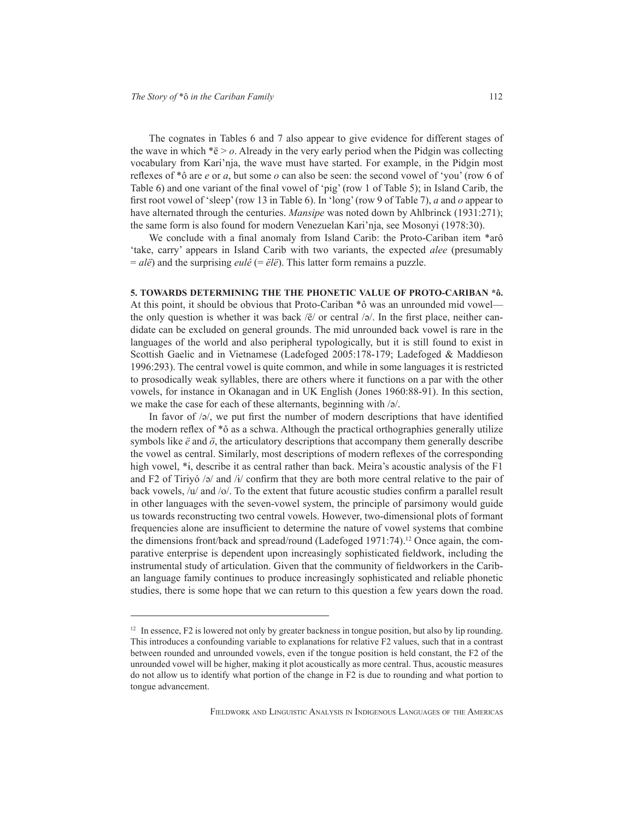The cognates in Tables 6 and 7 also appear to give evidence for different stages of the wave in which  $*\tilde{e} > o$ . Already in the very early period when the Pidgin was collecting vocabulary from Kari'nja, the wave must have started. For example, in the Pidgin most reflexes of \*ô are *e* or *a*, but some *o* can also be seen: the second vowel of 'you' (row 6 of Table 6) and one variant of the final vowel of 'pig' (row 1 of Table 5); in Island Carib, the first root vowel of 'sleep' (row 13 in Table 6). In 'long' (row 9 of Table 7), *a* and *o* appear to have alternated through the centuries. *Mansipe* was noted down by Ahlbrinck (1931:271); the same form is also found for modern Venezuelan Kari'nja, see Mosonyi (1978:30).

We conclude with a final anomaly from Island Carib: the Proto-Cariban item \*arô 'take, carry' appears in Island Carib with two variants, the expected *alee* (presumably  $= al\ddot{e}$ ) and the surprising *eulê* (=  $\ddot{e}l\ddot{e}$ ). This latter form remains a puzzle.

**5. TOWARDS DETERMINING THE THE PHONETIC VALUE OF PROTO-CARIBAN \*ô.**  At this point, it should be obvious that Proto-Cariban \*ô was an unrounded mid vowel the only question is whether it was back  $\ell \neq 0$  or central  $\ell$ . In the first place, neither candidate can be excluded on general grounds. The mid unrounded back vowel is rare in the languages of the world and also peripheral typologically, but it is still found to exist in Scottish Gaelic and in Vietnamese (Ladefoged 2005:178-179; Ladefoged & Maddieson 1996:293). The central vowel is quite common, and while in some languages it is restricted to prosodically weak syllables, there are others where it functions on a par with the other vowels, for instance in Okanagan and in UK English (Jones 1960:88-91). In this section, we make the case for each of these alternants, beginning with /ə/.

In favor of  $\alpha$ , we put first the number of modern descriptions that have identified the modern reflex of \*ô as a schwa. Although the practical orthographies generally utilize symbols like *ë* and *ö*, the articulatory descriptions that accompany them generally describe the vowel as central. Similarly, most descriptions of modern reflexes of the corresponding high vowel, \*i, describe it as central rather than back. Meira's acoustic analysis of the F1 and F2 of Tiriyó /ə/ and /i/ confirm that they are both more central relative to the pair of back vowels, /u/ and /o/. To the extent that future acoustic studies confirm a parallel result in other languages with the seven-vowel system, the principle of parsimony would guide us towards reconstructing two central vowels. However, two-dimensional plots of formant frequencies alone are insufficient to determine the nature of vowel systems that combine the dimensions front/back and spread/round (Ladefoged 1971:74).<sup>12</sup> Once again, the comparative enterprise is dependent upon increasingly sophisticated fieldwork, including the instrumental study of articulation. Given that the community of fieldworkers in the Cariban language family continues to produce increasingly sophisticated and reliable phonetic studies, there is some hope that we can return to this question a few years down the road.

<sup>&</sup>lt;sup>12</sup> In essence, F2 is lowered not only by greater backness in tongue position, but also by lip rounding. This introduces a confounding variable to explanations for relative F2 values, such that in a contrast between rounded and unrounded vowels, even if the tongue position is held constant, the F2 of the unrounded vowel will be higher, making it plot acoustically as more central. Thus, acoustic measures do not allow us to identify what portion of the change in F2 is due to rounding and what portion to tongue advancement.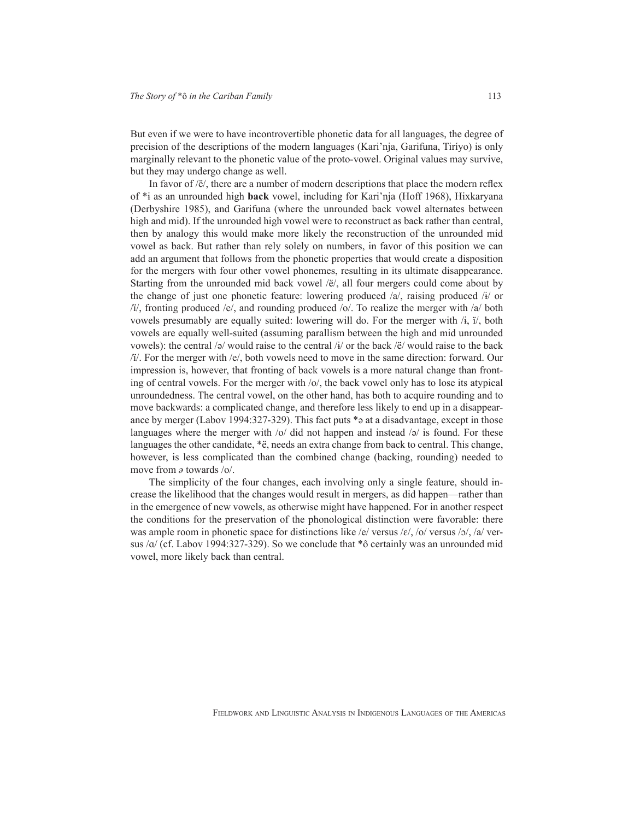But even if we were to have incontrovertible phonetic data for all languages, the degree of precision of the descriptions of the modern languages (Kari'nja, Garifuna, Tiríyo) is only marginally relevant to the phonetic value of the proto-vowel. Original values may survive, but they may undergo change as well.

In favor of /ë/, there are a number of modern descriptions that place the modern reflex of \*ɨ as an unrounded high **back** vowel, including for Kari'nja (Hoff 1968), Hixkaryana (Derbyshire 1985), and Garifuna (where the unrounded back vowel alternates between high and mid). If the unrounded high vowel were to reconstruct as back rather than central, then by analogy this would make more likely the reconstruction of the unrounded mid vowel as back. But rather than rely solely on numbers, in favor of this position we can add an argument that follows from the phonetic properties that would create a disposition for the mergers with four other vowel phonemes, resulting in its ultimate disappearance. Starting from the unrounded mid back vowel /ë/, all four mergers could come about by the change of just one phonetic feature: lowering produced  $\lambda/\lambda$ , raising produced  $\lambda/\lambda$  or /ï/, fronting produced /e/, and rounding produced /o/. To realize the merger with /a/ both vowels presumably are equally suited: lowering will do. For the merger with /ɨ, ï/, both vowels are equally well-suited (assuming parallism between the high and mid unrounded vowels): the central /ə/ would raise to the central /ɨ/ or the back /ë/ would raise to the back /ï/. For the merger with /e/, both vowels need to move in the same direction: forward. Our impression is, however, that fronting of back vowels is a more natural change than fronting of central vowels. For the merger with /o/, the back vowel only has to lose its atypical unroundedness. The central vowel, on the other hand, has both to acquire rounding and to move backwards: a complicated change, and therefore less likely to end up in a disappearance by merger (Labov 1994:327-329). This fact puts \*ə at a disadvantage, except in those languages where the merger with  $\frac{\delta}{\delta}$  did not happen and instead  $\frac{\delta}{\delta}$  is found. For these languages the other candidate, \*ë, needs an extra change from back to central. This change, however, is less complicated than the combined change (backing, rounding) needed to move from *ə* towards /o/.

The simplicity of the four changes, each involving only a single feature, should increase the likelihood that the changes would result in mergers, as did happen—rather than in the emergence of new vowels, as otherwise might have happened. For in another respect the conditions for the preservation of the phonological distinction were favorable: there was ample room in phonetic space for distinctions like /e/ versus /ɛ/, /o/ versus /ɔ/, /a/ versus /ɑ/ (cf. Labov 1994:327-329). So we conclude that \*ô certainly was an unrounded mid vowel, more likely back than central.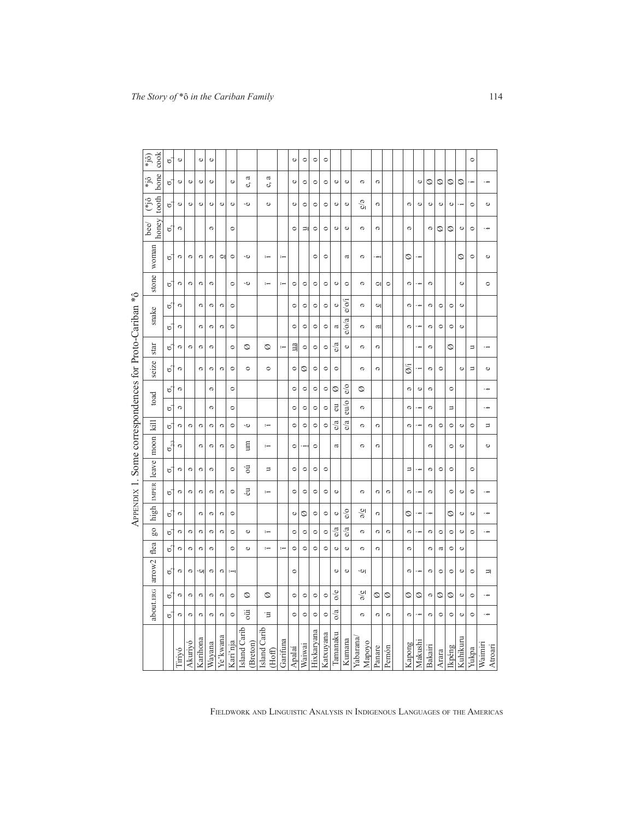|                                                       | $\cosh$<br>$\ast$ jð) | ь                | O             |               | O                                        | O                                        |               |          |                          |                          |                      | $\mathbb O$ | $\circ$  | $\circ$    | $\circ$   |               |                           |                    |               |               |               |            |           |         |          |          | $\circ$  |                    |
|-------------------------------------------------------|-----------------------|------------------|---------------|---------------|------------------------------------------|------------------------------------------|---------------|----------|--------------------------|--------------------------|----------------------|-------------|----------|------------|-----------|---------------|---------------------------|--------------------|---------------|---------------|---------------|------------|-----------|---------|----------|----------|----------|--------------------|
|                                                       | bone<br>$*$ jô        | 6                | $\circ$       | $\circ$       | Φ                                        | Φ                                        |               | $\circ$  | a<br>ς,                  | a<br>c,                  |                      | $\circ$     | $\circ$  | $\circ$    | $\circ$   | $\circ$       | Φ                         | G                  | o             |               |               | Φ          | ◎         | Ø       | Ø        | Ø        |          |                    |
|                                                       | tooth<br>$(*)$ ô      | 6                | $\circ$       | $\circ$       | Φ                                        | Φ                                        | $\bullet$     | $\circ$  | é                        | O                        |                      | $\circ$     | $\circ$  | $\circ$    | $\circ$   | $\circ$       | $\circ$                   | e/ə                | $\, \circ \,$ |               | $\, \circ \,$ | $\circ$    | $\circ$   | $\circ$ | $\circ$  |          | $\circ$  | $\circ$            |
|                                                       | honey<br>beel         | ರ್               | $\, \circ \,$ |               |                                          | $\sigma$                                 |               | $\circ$  |                          |                          |                      | $\circ$     | $\equiv$ | $\circ$    | $\circ$   | $\circ$       | $\circ$                   | $\sigma$           | $\, \circ \,$ |               | $\, \circ \,$ |            | $\sigma$  | Ø       | Ø        | $\circ$  | $\circ$  |                    |
|                                                       | woman                 | ຫ                | $\, \sigma$   | $\, \circ \,$ | $\, \circ \,$                            | $\mathrel{\mathsf{\scriptstyle{\circ}}}$ | $\circ$       | $\circ$  | é                        | $\sim$                   | $\ddot{\phantom{a}}$ |             |          | $\circ$    | $\circ$   |               | ß                         | $\sigma$           |               |               | Ø             |            |           |         |          | ◎        | $\circ$  | $\circ$            |
|                                                       | stone                 | 6                | $\circ$       | $\, \sigma$   | $\sigma$                                 | $\sigma$                                 |               | $\circ$  | é                        | $\overline{a}$           | $\overline{a}$       | $\circ$     | $\circ$  | $\circ$    | $\circ$   | $\circ$       | $\circ$                   | $\, \circ \,$      | 이             | $\circ$       | $\, \sigma$   |            | $\sigma$  |         |          | $\circ$  |          | $\circ$            |
|                                                       |                       | ဗ်               | $\, \sigma$   |               | $\, \circ \,$                            | $\mathbf \sigma$                         | $\sigma$      | $\circ$  |                          |                          |                      | $\circ$     | $\circ$  | $\circ$    | $\circ$   | $\circ$       | e/O/1                     | $\sigma$           | $\bullet$     |               | $\, \circ \,$ |            | $\sigma$  | $\circ$ | $\circ$  | $\circ$  |          |                    |
|                                                       | snake                 | 6                | $\sigma$      |               | $\sigma$                                 | $\sigma$                                 | $\sigma$      | $\circ$  |                          |                          |                      | $\circ$     | $\circ$  | $\circ$    | $\circ$   | a             | $e$ /o/a                  | $\sigma$           | a             |               | $\, \circ \,$ |            | $\sigma$  | $\circ$ | $\circ$  | $\circ$  |          |                    |
|                                                       | star                  | ь                | $\, \sigma$   | $\, \circ \,$ | $\, \sigma$                              | $\sigma$                                 |               | $\circ$  | Ø                        | Ø                        | $\overline{a}$       | La          | $\circ$  | $\circ$    | $\circ$   | e/a           | $\circ$                   | $\sigma$           | $\, \circ \,$ |               |               |            | $\sigma$  |         | Ø        |          | $\equiv$ |                    |
|                                                       | seize                 | <sub>ဝ</sub> ်   | $\, \circ \,$ |               | $\sigma$                                 | $\, \sigma$                              | $\sigma$      | $\circ$  | $\circ$                  | $\circ$                  |                      | $\circ$     | Ø        | $\circ$    | $\circ$   | $\circ$       |                           | $\sigma$           | $\, \sigma$   |               | Øή            |            | $\sigma$  | $\circ$ |          | Φ        | $\equiv$ | $\circ$            |
|                                                       |                       | ь                | $\sigma$      |               |                                          | $\sigma$                                 |               | $\circ$  |                          |                          |                      | $\circ$     | $\circ$  | $\circ$    | $\circ$   | Ø             | $\mathbf{e} / \mathbf{o}$ | Ø                  |               |               | $\, \circ \,$ | $\circ$    | $\sigma$  |         | $\circ$  |          |          |                    |
|                                                       | toad                  | 6                | $\sigma$      |               |                                          | $\mathbbmss{D}$                          |               | $\circ$  |                          |                          |                      | $\circ$     | $\circ$  | $\circ$    | $\circ$   | eu            | $eu$ o                    | $\sigma$           |               |               | $\, \circ \,$ |            | $\sigma$  |         | $\equiv$ |          |          |                    |
|                                                       | kill                  | 6                | $\, \circ \,$ | $\sigma$      | $\sigma$                                 | $\mathbbmss{D}$                          | $\sigma$      | $\circ$  | é                        | $\ddot{}$                |                      | $\circ$     | $\circ$  | $\circ$    | $\circ$   | e/a           | e/a                       | $\sigma$           | $\, \circ \,$ |               | $\sigma$      |            | $\sigma$  | $\circ$ | $\circ$  | $\circ$  | $\circ$  | $\Rightarrow$      |
|                                                       | moon                  | $\sigma_{\rm m}$ | $\, \circ \,$ |               | $\sigma$                                 | $\sigma$                                 | $\, \sigma$   | $\circ$  | E                        | $\overline{a}$           |                      | $\circ$     |          | $\circ$    |           | ß             |                           | $\sigma$           | $\, \sigma$   |               |               |            | G         |         | $\circ$  | O        |          | $\circ$            |
|                                                       | leave                 | లె               | $\, \circ \,$ | $\sigma$      | $\sigma$                                 | $\sigma$                                 |               | $\circ$  | óú                       | $\Rightarrow$            |                      | $\circ$     | $\circ$  | $\circ$    | $\circ$   |               |                           |                    |               |               | $\Rightarrow$ |            | $\sigma$  | $\circ$ | $\circ$  |          | $\circ$  |                    |
| APPENDIX 1. Some correspondences for Proto-Cariban *6 | <b>IMPER</b>          | 6                | $\sigma$      | $\sigma$      | $\sigma$                                 | $\sigma$                                 | $\sigma$      | $\circ$  | Ğ.                       | $\ddot{}$                |                      | $\circ$     | $\circ$  | $\circ$    | $\circ$   | $\circ$       |                           | $\sigma$           | $\, \circ \,$ | $\sigma$      | $\sigma$      |            | o         |         | $\circ$  | O        | $\circ$  |                    |
|                                                       | high                  | ర్               | $\sigma$      |               | $\mathrel{\mathsf{\scriptstyle{\circ}}}$ | $\mathrel{\mathsf{\scriptstyle{\circ}}}$ | $\, \circ \,$ | $\circ$  |                          |                          |                      | $\circ$     | Ø        | $\circ$    | $\circ$   | $\circ$       | $\mathbf{e}^{\prime}$ o   | ə/e                | $\, \circ \,$ |               | Ø             | ÷          | $\ddot{}$ |         | ◎        | $\circ$  | $\circ$  | $\cdot$            |
|                                                       | 80                    | 6                | $\sigma$      | $\, \circ \,$ | $\sigma$                                 | $\sigma$                                 | $\, \circ \,$ | $\circ$  | $\circ$                  | $\ddot{\phantom{1}}$     |                      | $\circ$     | $\circ$  | $\circ$    | $\circ$   | e/a           | e/a                       | $\sigma$           | o             | o             | $\sigma$      |            | $\sigma$  | $\circ$ | $\circ$  | $\circ$  | $\circ$  |                    |
|                                                       | flea                  | ర్               | $\sigma$      | $\, \circ \,$ | $\, \sigma$                              | $\sigma$                                 |               | $\circ$  | $\circ$                  | $\overline{a}$           | $\sim$               | $\circ$     | $\circ$  | $\circ$    | $\circ$   | $\circ$       | $\circ$                   | $\, \circ \,$      | o             |               | $\sigma$      |            | $\sigma$  | a       | $\circ$  | $\circ$  |          |                    |
|                                                       | arrow <sub>2</sub>    | ь                | $\, \circ \,$ | $\, \circ \,$ | ٠U                                       | $\, \circ \,$                            | $\, \sigma$   | $\sim$   |                          |                          |                      | $\circ$     |          |            |           | O             | $\circ$                   | é                  |               |               | $\, \circ \,$ |            | $\sigma$  | $\circ$ | $\circ$  | $\circ$  | $\circ$  | $\equiv$           |
|                                                       |                       | ь                | $\sigma$      | $\, \circ \,$ | $\mathbbmss{D}$                          | $\sigma$                                 | $\, \sigma$   | $\circ$  | Ø                        | Ø                        |                      | $\circ$     | $\circ$  | $\circ$    | $\circ$   | $\frac{1}{2}$ |                           | 9/e                | Ø             | Ø             | Ø             | Ø          | $\sigma$  | Ø       | Ø        | $\circ$  | $\circ$  |                    |
|                                                       | about.ERG             | 6                | $\, \circ \,$ | $\, \circ \,$ | $\, \circ \,$                            | $\mathbbmss{D}$                          | $\, \sigma$   | $\circ$  | öÜ                       | Έ                        |                      | $\circ$     | $\circ$  | $\circ$    | $\circ$   | $\sigma$      |                           | $\sigma$           | $\, \circ \,$ | $\, \circ \,$ | $\, \circ \,$ | $\cdot$ ++ | $\sigma$  | $\circ$ | $\circ$  | Φ        | $\circ$  | $\cdot$ ++         |
|                                                       |                       |                  | Tiriyó        | Akuriyó       | Karihona                                 | Wayana                                   | Ye'kwana      | Kari'nja | Island Carib<br>(Breton) | Island Carib<br>$(Hoff)$ | Garifuna             | Apalaí      | Waiwai   | Hixkaryana | Katxuyana | Tamanaku      | Kumana                    | Yabarana<br>Mapoyo | Panare        | Pemón         | Kapong        | Makushi    | Bakairi   | Arara   | Ikpéng   | Kuhikuru | Yukpa    | Wainiri<br>Atroari |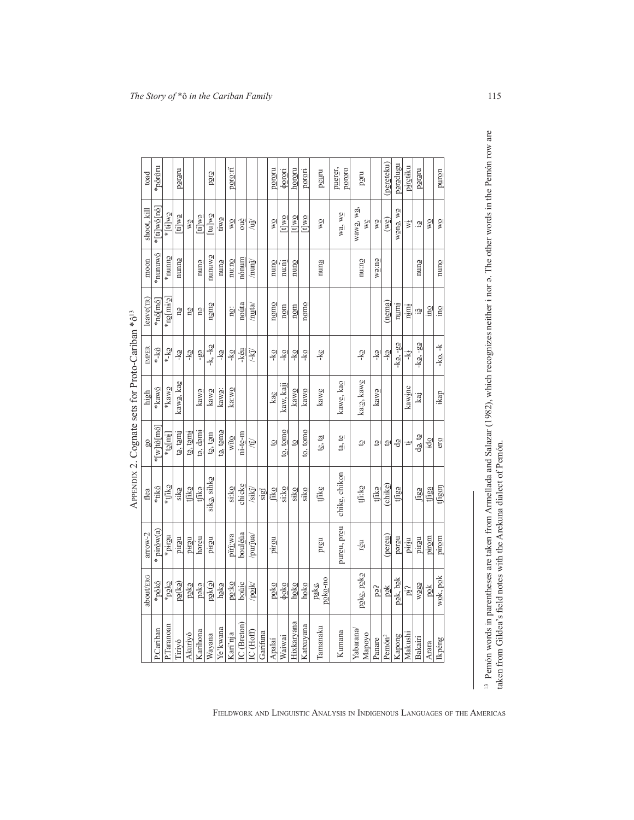|                                                | toad            | *pôrôru                          |                           | nuered                                                   |                            |                             | ereq                                    |                  | poro:ri         |                 |                      |          | pororu                  | фогогі                 | hororu                  | porori               | beuru            | pororo<br>puerer, | nād                                                              |               | (p <u>ere</u> teku) | nampelad          | piretiku                | nered          |                               | puron             |
|------------------------------------------------|-----------------|----------------------------------|---------------------------|----------------------------------------------------------|----------------------------|-----------------------------|-----------------------------------------|------------------|-----------------|-----------------|----------------------|----------|-------------------------|------------------------|-------------------------|----------------------|------------------|-------------------|------------------------------------------------------------------|---------------|---------------------|-------------------|-------------------------|----------------|-------------------------------|-------------------|
|                                                | shoot, kill     | $*[ii]w@[n@]$                    | $\mathbf{E}$ M $[t]$ *    | $[$ ti]w $\sup$                                          | e.                         | $\left[\frac{1}{2}W\right]$ | $\mathbb{E}^{M}[m]$                     | tiw <sub>2</sub> | $\overline{WQ}$ | oué             | /uï/                 |          | $\overline{\mathsf{S}}$ | [t]wo                  | $[t]$ w $\underline{0}$ | $[$ t $]$ w $\Omega$ | $\overline{WQ}$  | wa, we            | waw <sub>2</sub> , w <sub>2</sub> ,<br>$W\overset{\bullet}{\in}$ | <b>BM</b>     | $(w_{\mathcal{Q}})$ | wana, wa          | $\overline{\mathbf{v}}$ | 요.             | $\overline{8}$                | $\overline{W}$    |
|                                                | moon            | *nunuwô                          | $\epsilon$ umn $\epsilon$ | euung                                                    |                            | eunu                        | Ewnunu                                  | eunu             | nu:no           | nónum           | $/$ nun $\mathbf{i}$ |          | nuno                    | ``<br>mu:ni            | nuno                    |                      | num <u>a</u>     |                   | eu:na                                                            | ēu:ēm         |                     |                   |                         | eunu           |                               | nuno              |
|                                                | $leave$ $(\pi)$ | $*$ n <u>ô</u> [mô]              | $\frac{e}{\sqrt{\tan 1}}$ | $\mathbb{E}$                                             | ng                         | ng                          | eruēu                                   |                  | no:             | noúta           | $/$ nuta $/$         |          | nomo                    | $n_{Q}$ m              | $n_{Q}$ m               | nomo                 |                  |                   |                                                                  |               | $(n$ ema $)$        | numi              | nimi                    | ≀ <u>o</u> l   | $\overline{\text{nn}}$        | $\overline{m}$    |
|                                                | IMPER           | $* - k\hat{0}$                   | $eY_{-*}$                 | -kə                                                      | ēy-                        | $\bar{e}$ 3-                | $-k$ , $-k_2$                           | -ke              | $-10$           | -kéu            | $\sqrt{-kT}$         |          | $-1$                    | $-k$                   | $-1⁄0$                  | $-10$                | $-ke$            |                   | ēz-                                                              | ēz-           | -ke                 | $-k2 - 82$        | ķ                       | $-k_2$ , $-82$ |                               | $-k_{0}$ , $-k$   |
| Cognate sets for Proto-Cariban * $\delta^{13}$ | high            | *kaw <u>ô</u>                    | ewax*                     | kaw <u>ə</u> , ka <u>e</u>                               |                            | kawa                        | kawo                                    | kaw <u>ə</u> :   | ka:wo           |                 |                      |          | kae                     | kaw, kaji              | kawo                    | kawo                 | kawe             | kawe, kao         | ka:a, kawe                                                       | kawg          |                     |                   | kawine                  | kai            |                               | ikap              |
|                                                | $\frac{6}{8}$   | $*$ [w] $\hat{c}$ [m $\hat{c}$ ] | $\lim$                    | $t_{\underline{2}, t_{\underline{3}, t_{\underline{4}}}$ | t <u>a</u> , t <u>ə</u> mi | t <u>ə</u> , d <u>ə</u> mi  | $t_{\mathcal{D}}$ , $t_{\mathcal{D}}$ m | <u>ta, tama</u>  | wito            | $\dot{m}$ -te-m | /ij/                 |          | $\overline{a}$          | to, tomo               | $\overline{c}$          | to, tomo             | te, ta           | ta, te            | $\overline{c}$                                                   | 의             | $\overline{c}$      | 임                 | ij                      | da, ta         | $\overline{\text{d}\text{d}}$ | ero               |
| APPENDIX 2.                                    | flea            | $*$ tikô                         | exili*                    | sika                                                     | ext∬                       | tfika                       | siko, sihko                             |                  | si:ko           | chicke          | /siki/               | sigi     | fiko                    | si:ko                  | aiko                    | siko                 | tfike            | chike, chikon     | $e^{t}$                                                          | <b>exu</b> fi | (chike)             | tfige             |                         | <b>Gai</b>     | tfiga                         | trigon            |
|                                                | arrow-2         | pirôw(a)                         | nend <sub>*</sub>         | nend                                                     | nend                       | hargu                       | пена                                    |                  | piri wa         | bouléüa         | /pur <u>i</u> ua     |          | pirou                   |                        |                         |                      | preu             | pureu, preu       | réu                                                              |               | (pereu)             | nēred             | piriu                   | nend           | pirom                         | pirom             |
|                                                | about/ERG       | *pôkô                            | eyēd <sub>*</sub>         | p <u>a(ka</u> )                                          | eyēd                       | eyēd                        | pak(a)                                  | exēq             | po:ko           | botiic          | /poik/               |          | poko                    | $\overline{\text{op}}$ | hoko                    | hoko                 | poko-no<br>pake, |                   | pake, paka                                                       | pa?           | bek                 | p <u>a</u> k, bak | pi?                     | eaew           | pok                           | w <u>o</u> k, pok |
|                                                |                 | <b>P.Cariban</b>                 | P.Taranoan                | <b>Tirivó</b>                                            | Akuriyó                    | Karihona                    | Wayana                                  | Ye'kwana         | Kari'nja        | IC (Breton)     | IC (Hoff)            | Garifuna | Apalaí                  | Waiwai                 | Hixkaryana              | Katxuyana            | Tamanaku         | Kumana            | Yabarana/<br>Mapoyo                                              | Panare        | Pemón <sup>2</sup>  | Kapong            | Makushi                 | Bakairi        | Arara                         | Ikpéng            |

<sup>13</sup> Pemón words in parentheses are taken from Armellada and Salazar (1982), which recognizes neither i nor a. The other words in the Pemón row are taken from Gildea's field notes with the Arekuna dialect of Pemón. 13 Pemón words in parentheses are taken from Armellada and Salazar (1982), which recognizes neither ɨ nor ə. The other words in the Pemón row are taken from Gildea's field notes with the Arekuna dialect of Pemón.

Fieldwork and Linguistic Analysis in Indigenous Languages of the Americas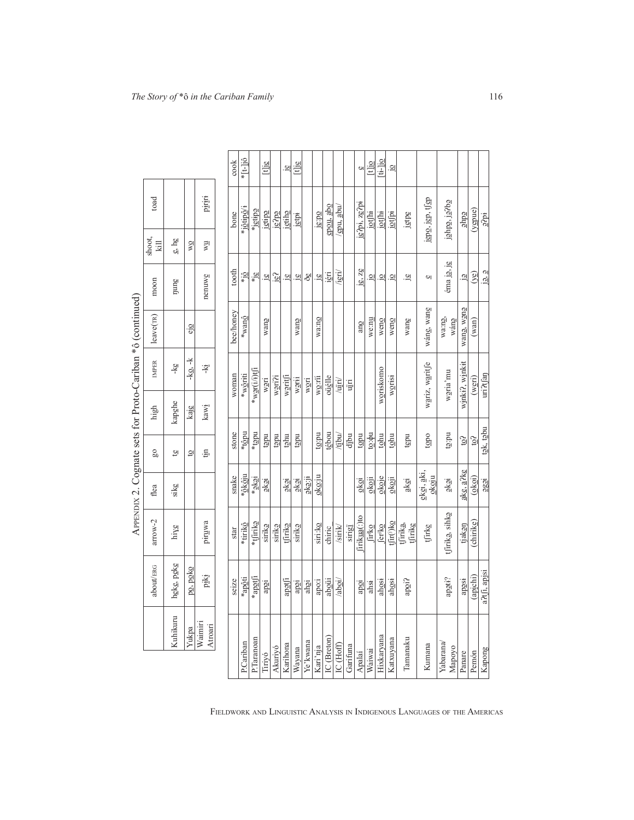|                     |            |                         |                    | cook      | $*[t-]]$ ô       |                     | [t]je  |             | .थ                 | <u>idje</u> |                |          |             |                                    |          | $\bullet$                 | <u>lijo</u>      | $[1+i]$       | 의                      |                     |                     |                                        |        |                     |           |                         |
|---------------------|------------|-------------------------|--------------------|-----------|------------------|---------------------|--------|-------------|--------------------|-------------|----------------|----------|-------------|------------------------------------|----------|---------------------------|------------------|---------------|------------------------|---------------------|---------------------|----------------------------------------|--------|---------------------|-----------|-------------------------|
| toad                |            |                         | pirin              | bone      | *jôtipô/i        | *jetipa             | jetipe | edzā        | jetiha             | jetpi       |                | je:po    | epou, abo   | /gpu, abu/                         |          | je?pi, ze?pi              | iot∫hi           | jotfhi        | jotfpi                 | jetpe               | jepo, jep, tjep     | jahpa, ja?ba                           |        | edue                | (ygpue)   | $\frac{1}{2}$ pi        |
| shoot,<br>$\rm{ki}$ | e, he      | WQ                      | $\overline{\mu}$   |           |                  |                     |        |             |                    |             |                |          |             |                                    |          |                           |                  |               |                        |                     |                     |                                        |        |                     |           |                         |
| moon                | nune       |                         | nenuwg             | tooth     | $*10$            | $\frac{1}{2}$       | .≌l    | $\tilde{p}$ |                    | .의.의        | $\delta$ e     | 'ন       | Ϊğι         | /ieri                              |          | $J\ddot{E}$ , $Z\ddot{E}$ |                  | 의 의 의         |                        | اٍ في               | ΦI                  | éma j <u>a</u> , je                    |        | $\overline{\omega}$ | (ye)      | io, el                  |
| $leave$ (TR)        |            | ejo                     |                    | bee/honey | *wanô            |                     | wang   |             |                    | wang        |                | wa:no    |             |                                    |          | ano                       | we:nu            | weno          | weno                   | wang                | wáng, wang          | wa:n <u>ə</u> ,                        | wáno   | wang, wong          | (wan)     |                         |
| IMPER               | $-ke$      | $-ko$ , $-k$            | 복                  | woman     | *wôriti          | ljt(i/jlew*         | nēm    | $w$ ari?i   | waritfi            | WQW         | wori           | wo:rii   | oüélle      | $\overline{\text{u}^{\text{int}}}$ | üΪï      |                           |                  | woriskomo     | worisi                 |                     | wariz, waritfe      | w <u>ə</u> ria'mu                      |        | winki?, winkit      | (wgn)     | $uri\mathcal{H}$ $j$ aŋ |
| high                | kapehe     | kaje                    | kawi               |           |                  |                     |        |             |                    |             |                |          |             |                                    |          |                           |                  |               |                        |                     |                     |                                        |        |                     |           |                         |
| 80                  | 의          | $\overline{\mathbf{a}}$ | ίij,               | stone     | $*$ tópu         | ndē <sub>1*</sub>   | ndē    | ndeq        | urjet              | ndep        |                | to:pu    | tébou       | /tibu/                             | dibu     | topu                      | $t_0$ : $\phi$ u | tohu          | tohu                   | rda                 | odo                 | $u$ d: $\bar{e}$                       |        | $\overline{\omega}$ | to?       | tak, tabu               |
| flea                | sike       |                         |                    | snake     | *ôkôju           | ieyē <sub>*</sub>   | iezie  |             | exe                | ieyē        | ak <u>o</u> ji | oko:ju   |             |                                    |          | okoi                      | okoji            | okoje         | okoji                  | akei                | ekei, aki,<br>okoju | ieyē                                   |        | ake, a?ke           | (okoi)    | reae                    |
| arrow-2             | hiye       |                         | piruwa             | star      | *tirikô          | exuil <sub>1*</sub> | siriko | sirika      | tfirika            | sirika      |                | siri:ko  | chiric      | /sirik/                            | sirigi   | firikua(:)to              | <b>firko</b>     | <b>feriko</b> | tfir( <sup>j</sup> )ko | tfirika,<br>tfirike | tfirke              | tfirika, sihka                         |        | tjakan              | (chirike) |                         |
| about/ERG           | heke, peke | po, poko                | piki               | seize     | *ap <u>ô</u> ti  | iljēde <sub>*</sub> | rede   |             | apat <sub>fi</sub> | iede        | ahai           | apo:1    | aboüi       | /aboi/                             |          | apoi                      | ahsi             | ahosi         | ahosi                  | apoi?               |                     | $\mathop{\rm app\acute{e}i}\nolimits?$ |        | apasi               | (apichi)  | a?tfi, apisi            |
|                     | Kuhikuru   | Yukpa                   | Waimiri<br>Atroari |           | <b>P.Cariban</b> | P.Taranoan          | Tiriyó | Akuriyó     | Karihona           | Wayana      | Ye'kwana       | Kari'nja | IC (Breton) | IC (Hoff)                          | Garifuna | Apalaí                    | Waiwai           | Hixkaryana    | Katxuyana              | Tamanaku            | Kumana              | Yabarana/                              | Mapoyo | Panare              | Pemón     | Kapong                  |

APPENDIX 2. Cognate sets for Proto-Cariban \*ô (continued) APPENDIX 2. Cognate sets for Proto-Cariban  $*$ ô (continued)

Fieldwork and Linguistic Analysis in Indigenous Languages of the Americas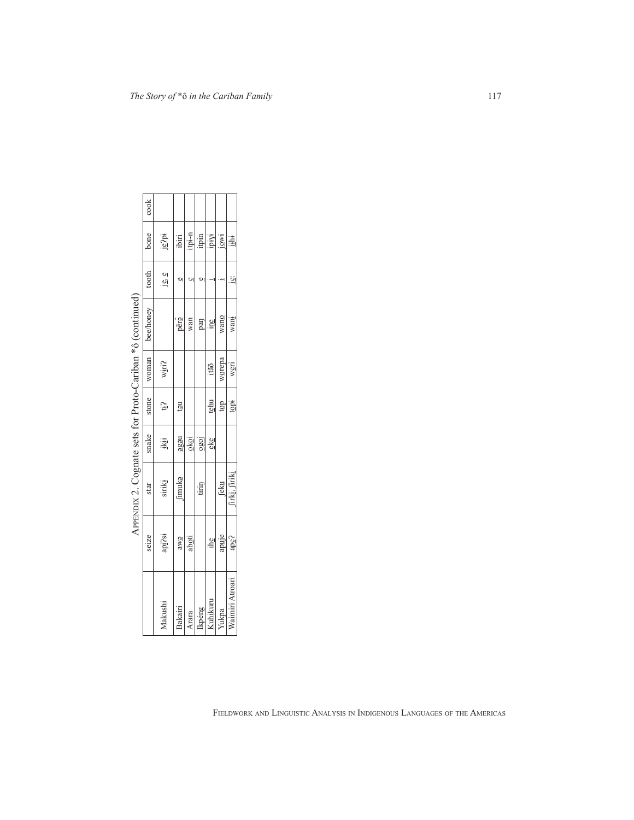|                 |                       | )                             |       |       |                  |           |            |                   |         |
|-----------------|-----------------------|-------------------------------|-------|-------|------------------|-----------|------------|-------------------|---------|
|                 | seize                 | star                          | snake | stone | woman            | bee/honey | tooth      | bone              | $\cosh$ |
| Makushi         | api?si                | siriki                        | ikii  | Ĝ.    | $w$ iri $\gamma$ |           | je, e      | $j\in\mathcal{P}$ |         |
| Bakairi         | $\overline{\epsilon}$ | extrut                        | nese  | iei   |                  | pěra      | υı         | ibiri             |         |
| Arara           | aboti                 |                               | okoi  |       |                  | wan       |            | $i$ tpi-n         |         |
| <b>Ikpéng</b>   |                       | tim                           | 080   |       |                  | pan       |            | tipin             |         |
| Kuhikuru        | ihe                   |                               | eke   | urja  | itãõ             | ine       |            | $\frac{1}{2}$     |         |
| Yukpa           | apuje                 |                               |       | 의     | worepa           | wano      |            | $\frac{1}{2}$     |         |
| Waimiri Atroari | ape?                  | fek <u>u</u><br>firki, firiki |       | top   | weri             | wani      | <u>isi</u> | iщ                |         |

APPENDIX 2. Cognate sets for Proto-Cariban \*ô (continued) APPENDIX 2. Cognate sets for Proto-Cariban  $*$ ô (continued)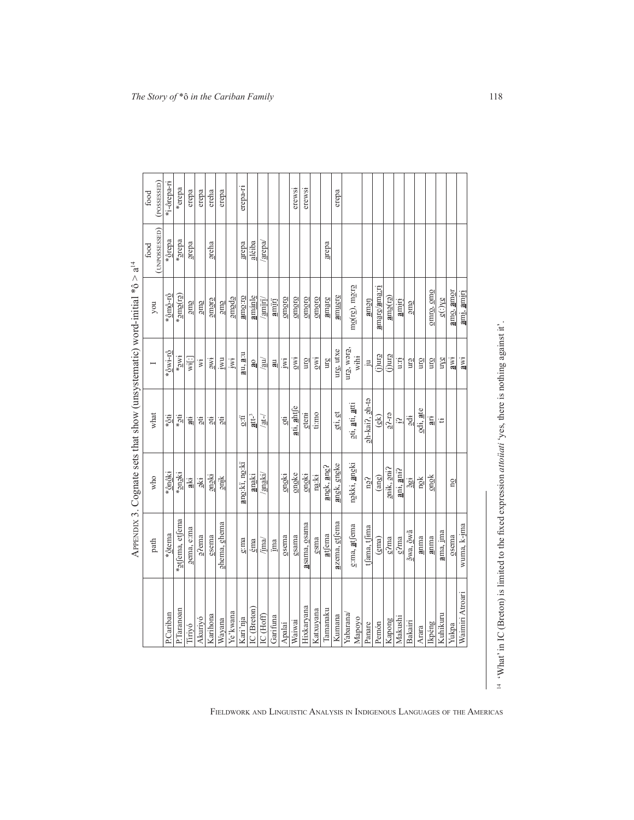| P.Taranoan<br>P.Cariban<br>Karihona<br>Akuriyó<br>Tiriyó | path                               |                                           |                         |                                                                      |                                | food          | food        |
|----------------------------------------------------------|------------------------------------|-------------------------------------------|-------------------------|----------------------------------------------------------------------|--------------------------------|---------------|-------------|
|                                                          |                                    | who                                       | what                    |                                                                      | you                            | (UNPOSSESSED) | (POSSESSED) |
|                                                          | *ôtema                             | *ônôki                                    | $*$ ôti                 | $*$ Ôwi-rô                                                           | $*0$ m $0$ -r $0$              | *ôrepa        | *i-ôrepa-ri |
|                                                          | *atfema, etfema                    | iyēuē <sub>*</sub>                        | $\ddot{\vec{e}}$        | $*_{\mathbf{S}}$                                                     | enjeurē <sub>*</sub>           | *arepa        | *erepa      |
|                                                          | aema, e:ma                         | aki                                       | ati,                    | wi[:]                                                                | ems                            | $2$ repa      | erepa       |
|                                                          | $e$ ?ema                           | ä                                         | Ψē                      | `\$                                                                  | <u>eme</u>                     |               | erepa       |
|                                                          | esema                              | angki                                     | 高                       | imē                                                                  | <b>Elētuē</b>                  | $are$ ha      | ereha       |
| Wayana                                                   | ahema, ehema                       | anik                                      | ä                       | $\frac{1}{2}$                                                        | eurē                           |               | erepa       |
| Ye'kwana                                                 |                                    |                                           |                         | $\ddot{x}$                                                           | epēurē                         |               |             |
| Kari'nja                                                 | $e$ :ma                            | ano:ki, no:ki                             | 0.11                    | $\underline{\mathbf{a}}\mathbf{u}, \underline{\mathbf{a}}\mathbf{u}$ | amorro                         | arepa         | erepa-ri    |
| C (Breton                                                | éma                                | $\underline{\underline{\textbf{and}}}$ ki | $\frac{at-3}{2}$        | $\frac{1}{2}$                                                        | amánle                         | aléiba        |             |
| IC (Hoff)                                                | /jma/                              | $\frac{1}{2}$                             | $\overline{\text{at}}$  | $\overline{\text{au}}$                                               | $\langle \text{amiri} \rangle$ | /arepa        |             |
| Garifuna                                                 | ima                                |                                           |                         | $\frac{1}{2}$                                                        | amiri                          |               |             |
| Apalaí                                                   | osema                              | $angk$                                    | σĦ                      | $\ddot{\mathbf{w}}$                                                  | omoro                          |               |             |
| Waiwai                                                   | esama                              | onoke                                     | ati, ahtfe              | $QW_1$                                                               | $onoro$                        |               | erewsi      |
| Hixkaryana                                               | asama, osama                       | onoki                                     | $eteni$                 | pun                                                                  | omoro                          |               | erewsi      |
| Katxuyana                                                | esma                               | na:ki                                     | ti:mo                   | $\overline{\text{OW1}}$                                              | omoro                          |               |             |
| Famanaku                                                 | atfema                             | <u>ane</u> k, <u>ane</u> ?                |                         | ure                                                                  | amare                          | arepa         |             |
| Kumana                                                   | azema, etfema                      | anek, eneke                               | eti, et                 | ure, utxe                                                            | amuere                         |               | erepa       |
| Yabarana<br>Mapoyo                                       | e:ma, atjema                       | n <u>ə</u> kki, <u>a</u> neki             | eti, ati, atti          | ur <u>ə,</u> wər <u>ə,</u><br>wihi                                   | mo(re), marra                  |               |             |
| Panare                                                   | tfama, tfima                       | n eR                                      | ah-kai?, ah-tə          | $\Xi$                                                                | meuur                          |               |             |
| Pemón                                                    | (ema)                              | $(\text{ang})$                            | $\bigcirc$              | gnu(i)                                                               | amarg/ama:ri                   |               |             |
| Kapong                                                   | $e$ ?ma                            | $mik$ , $mli$                             | $e^{J-f}$               | gnu(j)                                                               | enēur                          |               |             |
| Makushi                                                  | $e$ ?ma                            | $\frac{1}{2}$ $\frac{1}{2}$ $\frac{1}{2}$ | $\approx$               | i                                                                    | $am_{\pm}$                     |               |             |
| Bakairi                                                  | $\frac{8}{2}$ wa, $\frac{8}{2}$ wã | äg                                        | الع<br>ال               | eun                                                                  | eme                            |               |             |
| Arara                                                    | $a$ mna                            | nok                                       | $Qdi$ , ate             | uro                                                                  |                                |               |             |
| Ikpéng                                                   | $a$ mna                            | onok                                      | $\overline{\mathbf{a}}$ | pun                                                                  | omro, omo                      |               |             |
| Kuhikuru                                                 | ama, ima                           |                                           | Φ                       | uye                                                                  | g(x)                           |               |             |
| Yukpa                                                    | osema                              | $\overline{n}$                            |                         | $a_{W1}$                                                             | amo, amor                      |               |             |
| Waimiri Atroari                                          | wuma, k-ima                        |                                           |                         | $a_{W}$                                                              | ami, amiri                     |               |             |

<sup>14</sup> 'What' in IC (Breton) is limited to the fixed expression *attouati* 'yes, there is nothing against it'. 14 'What' in IC (Breton) is limited to the fixed expression *attoüati* 'yes, there is nothing against it'.

Fieldwork and Linguistic Analysis in Indigenous Languages of the Americas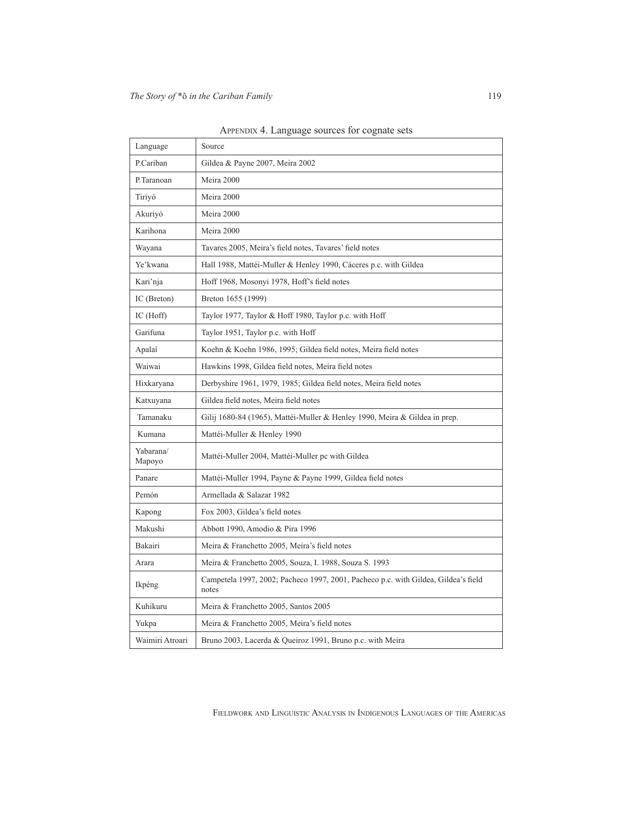| Language            | Source                                                                                      |
|---------------------|---------------------------------------------------------------------------------------------|
| P.Cariban           | Gildea & Payne 2007, Meira 2002                                                             |
| P.Taranoan          | Meira 2000                                                                                  |
| Tiriyó              | Meira 2000                                                                                  |
| Akuriyó             | Meira 2000                                                                                  |
| Karihona            | Meira 2000                                                                                  |
| Wayana              | Tavares 2005, Meira's field notes, Tavares' field notes                                     |
| Ye'kwana            | Hall 1988, Mattéi-Muller & Henley 1990, Cáceres p.c. with Gildea                            |
| Kari'nja            | Hoff 1968, Mosonyi 1978, Hoff's field notes                                                 |
| IC (Breton)         | Breton 1655 (1999)                                                                          |
| IC (Hoff)           | Taylor 1977, Taylor & Hoff 1980, Taylor p.c. with Hoff                                      |
| Garifuna            | Taylor 1951, Taylor p.c. with Hoff                                                          |
| Apalaí              | Koehn & Koehn 1986, 1995; Gildea field notes, Meira field notes                             |
| Waiwai              | Hawkins 1998, Gildea field notes, Meira field notes                                         |
| Hixkaryana          | Derbyshire 1961, 1979, 1985; Gildea field notes, Meira field notes                          |
| Katxuyana           | Gildea field notes, Meira field notes                                                       |
| Tamanaku            | Gilij 1680-84 (1965), Mattéi-Muller & Henley 1990, Meira & Gildea in prep.                  |
| Kumana              | Mattéi-Muller & Henley 1990                                                                 |
| Yabarana/<br>Mapoyo | Mattéi-Muller 2004, Mattéi-Muller pc with Gildea                                            |
| Panare              | Mattéi-Muller 1994, Payne & Payne 1999, Gildea field notes                                  |
| Pemón               | Armellada & Salazar 1982                                                                    |
| Kapong              | Fox 2003, Gildea's field notes                                                              |
| Makushi             | Abbott 1990, Amodio & Pira 1996                                                             |
| Bakairi             | Meira & Franchetto 2005, Meira's field notes                                                |
| Arara               | Meira & Franchetto 2005, Souza, I. 1988, Souza S. 1993                                      |
| Ikpéng              | Campetela 1997, 2002; Pacheco 1997, 2001, Pacheco p.c. with Gildea, Gildea's field<br>notes |
| Kuhikuru            | Meira & Franchetto 2005, Santos 2005                                                        |
| Yukpa               | Meira & Franchetto 2005, Meira's field notes                                                |
| Waimiri Atroari     | Bruno 2003, Lacerda & Queiroz 1991, Bruno p.c. with Meira                                   |

APPENDIX 4. Language sources for cognate sets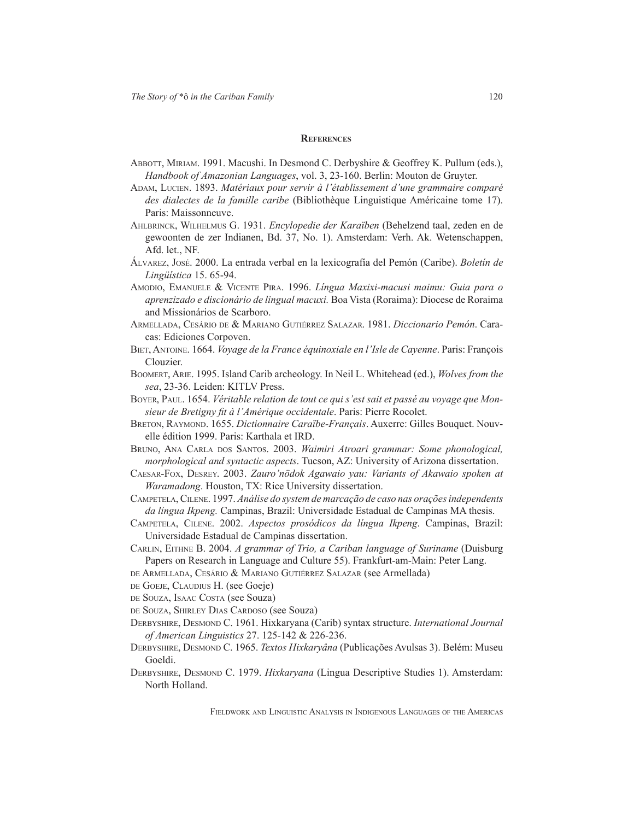#### **References**

- Abbott, Miriam. 1991. Macushi. In Desmond C. Derbyshire & Geoffrey K. Pullum (eds.), *Handbook of Amazonian Languages*, vol. 3, 23-160. Berlin: Mouton de Gruyter.
- Adam, Lucien. 1893. *Matériaux pour servir à l'établissement d'une grammaire comparé des dialectes de la famille caribe* (Bibliothèque Linguistique Américaine tome 17). Paris: Maissonneuve.
- Ahlbrinck, Wilhelmus G. 1931. *Encylopedie der Karaïben* (Behelzend taal, zeden en de gewoonten de zer Indianen, Bd. 37, No. 1). Amsterdam: Verh. Ak. Wetenschappen, Afd. let., NF.
- Álvarez, José. 2000. La entrada verbal en la lexicografía del Pemón (Caribe). *Boletín de Lingüística* 15. 65-94.
- Amodio, Emanuele & Vicente Pira. 1996. *Língua Maxixi-macusi maimu: Guia para o aprenzizado e discionário de lingual macuxi.* Boa Vista (Roraima): Diocese de Roraima and Missionários de Scarboro.
- Armellada, Cesário de & Mariano Gutiérrez Salazar. 1981. *Diccionario Pemón*. Caracas: Ediciones Corpoven.
- Biet, Antoine. 1664. *Voyage de la France équinoxiale en l'Isle de Cayenne*. Paris: François Clouzier.
- Boomert, Arie. 1995. Island Carib archeology. In Neil L. Whitehead (ed.), *Wolves from the sea*, 23-36. Leiden: KITLV Press.
- Boyer, Paul. 1654. *Véritable relation de tout ce qui s'est sait et passé au voyage que Monsieur de Bretigny fit à l'Amérique occidentale*. Paris: Pierre Rocolet.
- Breton, Raymond. 1655. *Dictionnaire Caraïbe-Français*. Auxerre: Gilles Bouquet. Nouvelle édition 1999. Paris: Karthala et IRD.
- Bruno, Ana Carla dos Santos. 2003. *Waimiri Atroari grammar: Some phonological, morphological and syntactic aspects*. Tucson, AZ: University of Arizona dissertation.
- Caesar-Fox, Desrey. 2003. *Zauro'nödok Agawaio yau: Variants of Akawaio spoken at Waramadong*. Houston, TX: Rice University dissertation.
- Campetela, Cilene. 1997. *Análise do system de marcação de caso nas orações independents da língua Ikpeng.* Campinas, Brazil: Universidade Estadual de Campinas MA thesis.
- Campetela, Cilene. 2002. *Aspectos prosódicos da língua Ikpeng*. Campinas, Brazil: Universidade Estadual de Campinas dissertation.
- Carlin, Eithne B. 2004. *A grammar of Trio, a Cariban language of Suriname* (Duisburg Papers on Research in Language and Culture 55). Frankfurt-am-Main: Peter Lang.
- de Armellada, Cesário & Mariano Gutiérrez Salazar (see Armellada)
- de Goeje, Claudius H. (see Goeje)
- de Souza, Isaac Costa (see Souza)
- de Souza, Shirley Dias Cardoso (see Souza)
- Derbyshire, Desmond C. 1961. Hixkaryana (Carib) syntax structure. *International Journal of American Linguistics* 27. 125-142 & 226-236.
- Derbyshire, Desmond C. 1965. *Textos Hixkaryâna* (Publicações Avulsas 3). Belém: Museu Goeldi.
- Derbyshire, Desmond C. 1979. *Hixkaryana* (Lingua Descriptive Studies 1). Amsterdam: North Holland.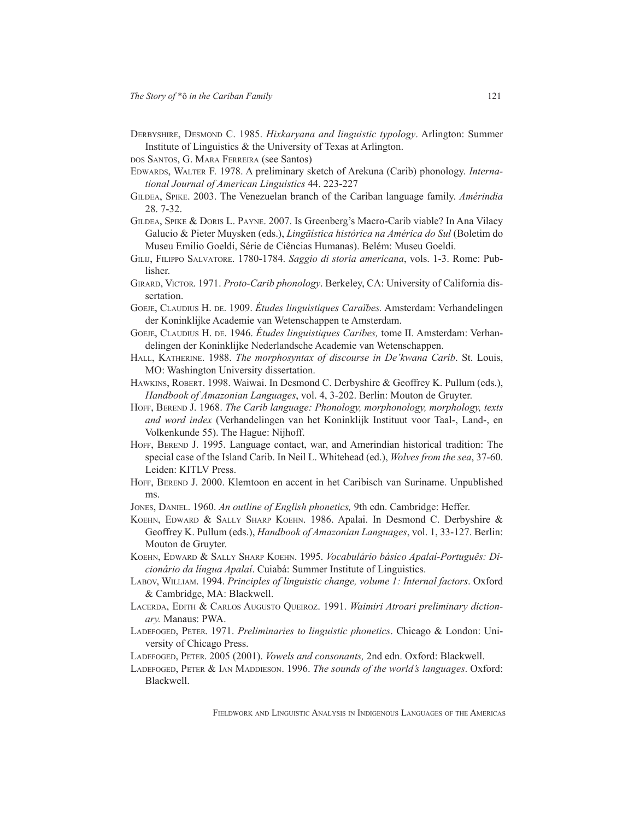- Derbyshire, Desmond C. 1985. *Hixkaryana and linguistic typology*. Arlington: Summer Institute of Linguistics & the University of Texas at Arlington.
- dos Santos, G. Mara Ferreira (see Santos)
- Edwards, Walter F. 1978. A preliminary sketch of Arekuna (Carib) phonology. *International Journal of American Linguistics* 44. 223-227
- Gildea, Spike. 2003. The Venezuelan branch of the Cariban language family. *Amérindia* 28. 7-32.
- Gildea, Spike & Doris L. Payne. 2007. Is Greenberg's Macro-Carib viable? In Ana Vilacy Galucio & Pieter Muysken (eds.), *Lingüística histórica na América do Sul* (Boletim do Museu Emilio Goeldi, Série de Ciências Humanas). Belém: Museu Goeldi.
- Gilij, Filippo Salvatore. 1780-1784. *Saggio di storia americana*, vols. 1-3. Rome: Publisher.
- Girard, Victor. 1971. *Proto-Carib phonology*. Berkeley, CA: University of California dissertation.
- GOEJE, CLAUDIUS H. DE. 1909. *Études linguistiques Caraïbes*. Amsterdam: Verhandelingen der Koninklijke Academie van Wetenschappen te Amsterdam.
- GOEJE, CLAUDIUS H. DE. 1946. *Études linguistiques Caribes*, tome II. Amsterdam: Verhandelingen der Koninklijke Nederlandsche Academie van Wetenschappen.
- Hall, Katherine. 1988. *The morphosyntax of discourse in De'kwana Carib*. St. Louis, MO: Washington University dissertation.
- Hawkins, Robert. 1998. Waiwai. In Desmond C. Derbyshire & Geoffrey K. Pullum (eds.), *Handbook of Amazonian Languages*, vol. 4, 3-202. Berlin: Mouton de Gruyter.
- Hoff, Berend J. 1968. *The Carib language: Phonology, morphonology, morphology, texts and word index* (Verhandelingen van het Koninklijk Instituut voor Taal-, Land-, en Volkenkunde 55). The Hague: Nijhoff.
- HOFF, BEREND J. 1995. Language contact, war, and Amerindian historical tradition: The special case of the Island Carib. In Neil L. Whitehead (ed.), *Wolves from the sea*, 37-60. Leiden: KITLV Press.
- Hoff, Berend J. 2000. Klemtoon en accent in het Caribisch van Suriname. Unpublished ms.
- Jones, Daniel. 1960. *An outline of English phonetics,* 9th edn. Cambridge: Heffer.
- Koehn, Edward & Sally Sharp Koehn. 1986. Apalai. In Desmond C. Derbyshire & Geoffrey K. Pullum (eds.), *Handbook of Amazonian Languages*, vol. 1, 33-127. Berlin: Mouton de Gruyter.
- Koehn, Edward & Sally Sharp Koehn. 1995. *Vocabulário básico Apalaí-Português: Dicionário da língua Apalaí*. Cuiabá: Summer Institute of Linguistics.
- Labov, William. 1994. *Principles of linguistic change, volume 1: Internal factors*. Oxford & Cambridge, MA: Blackwell.
- Lacerda, Edith & Carlos Augusto Queiroz. 1991. *Waimiri Atroari preliminary dictionary.* Manaus: PWA.
- Ladefoged, Peter. 1971. *Preliminaries to linguistic phonetics*. Chicago & London: University of Chicago Press.
- Ladefoged, Peter. 2005 (2001). *Vowels and consonants,* 2nd edn. Oxford: Blackwell.
- Ladefoged, Peter & Ian Maddieson. 1996. *The sounds of the world's languages*. Oxford: Blackwell.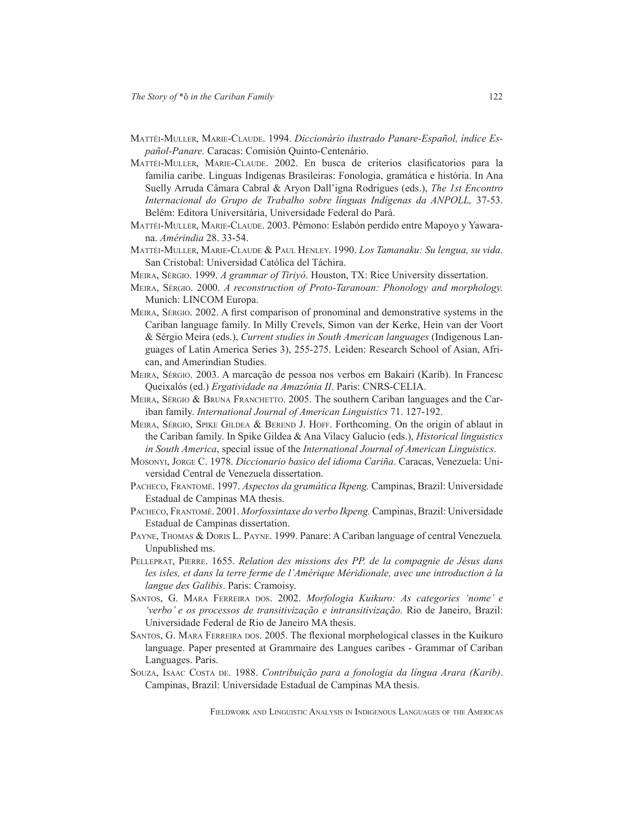- Mattéi-Muller, Marie-Claude. 1994. *Diccionário ilustrado Panare-Español, índice Español-Panare.* Caracas: Comisión Quinto-Centenário.
- Mattéi-Muller, Marie-Claude. 2002. En busca de criterios clasificatorios para la familia caribe. Linguas Indigenas Brasileiras: Fonologia, gramática e história. In Ana Suelly Arruda Câmara Cabral & Aryon Dall'igna Rodrigues (eds.), *The 1st Encontro Internacional do Grupo de Trabalho sobre línguas Indígenas da ANPOLL,* 37-53. Belém: Editora Universitária, Universidade Federal do Pará.
- Mattéi-Muller, Marie-Claude. 2003. Pémono: Eslabón perdido entre Mapoyo y Yawarana. *Amérindia* 28. 33-54.
- Mattéi-Muller, Marie-Claude & Paul Henley. 1990. *Los Tamanaku: Su lengua, su vida*. San Cristobal: Universidad Católica del Táchira.
- Meira, Sérgio. 1999. *A grammar of Tiriyó*. Houston, TX: Rice University dissertation.
- Meira, Sérgio. 2000. *A reconstruction of Proto-Taranoan: Phonology and morphology.*  Munich: LINCOM Europa.
- Meira, Sérgio. 2002. A first comparison of pronominal and demonstrative systems in the Cariban language family. In Milly Crevels, Simon van der Kerke, Hein van der Voort & Sérgio Meira (eds.), *Current studies in South American languages* (Indigenous Languages of Latin America Series 3), 255-275. Leiden: Research School of Asian, African, and Amerindian Studies.
- Meira, Sérgio. 2003. A marcação de pessoa nos verbos em Bakairi (Karíb). In Francesc Queixalós (ed.) *Ergatividade na Amazônia II*. Paris: CNRS-CELIA.
- MEIRA, SÉRGIO & BRUNA FRANCHETTO. 2005. The southern Cariban languages and the Cariban family. *International Journal of American Linguistics* 71. 127-192.
- MEIRA, SÉRGIO, SPIKE GILDEA & BEREND J. HOFF. Forthcoming. On the origin of ablaut in the Cariban family. In Spike Gildea & Ana Vilacy Galucio (eds.), *Historical linguistics in South America*, special issue of the *International Journal of American Linguistics*.
- Mosonyi, Jorge C. 1978. *Diccionario basico del idioma Cariña*. Caracas, Venezuela: Universidad Central de Venezuela dissertation.
- Pacheco, Frantomé. 1997. *Aspectos da gramática Ikpeng.* Campinas, Brazil: Universidade Estadual de Campinas MA thesis.
- Pacheco, Frantomé. 2001. *Morfossintaxe do verbo Ikpeng.* Campinas, Brazil: Universidade Estadual de Campinas dissertation.
- Payne, Thomas & Doris L. Payne. 1999. Panare: A Cariban language of central Venezuela*.* Unpublished ms.
- Pelleprat, Pierre. 1655. *Relation des missions des PP. de la compagnie de Jésus dans les isles, et dans la terre ferme de l'Amérique Méridionale, avec une introduction à la langue des Galibis*. Paris: Cramoisy.
- Santos, G. Mara Ferreira dos. 2002. *Morfologia Kuikuro: As categories 'nome' e 'verbo' e os processos de transitivização e intransitivização.* Rio de Janeiro, Brazil: Universidade Federal de Rio de Janeiro MA thesis.
- Santos, G. Mara Ferreira dos. 2005. The flexional morphological classes in the Kuikuro language. Paper presented at Grammaire des Langues caribes - Grammar of Cariban Languages. Paris.
- Souza, Isaac Costa de. 1988. *Contribuição para a fonologia da língua Arara (Karib)*. Campinas, Brazil: Universidade Estadual de Campinas MA thesis.